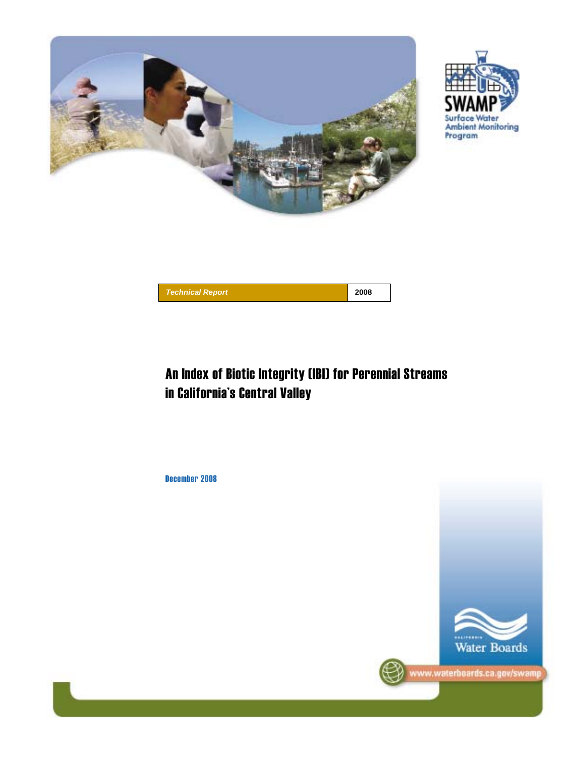





# An Index of Biotic Integrity (IBI) for Perennial Streams in California's Central Valley

December 2008

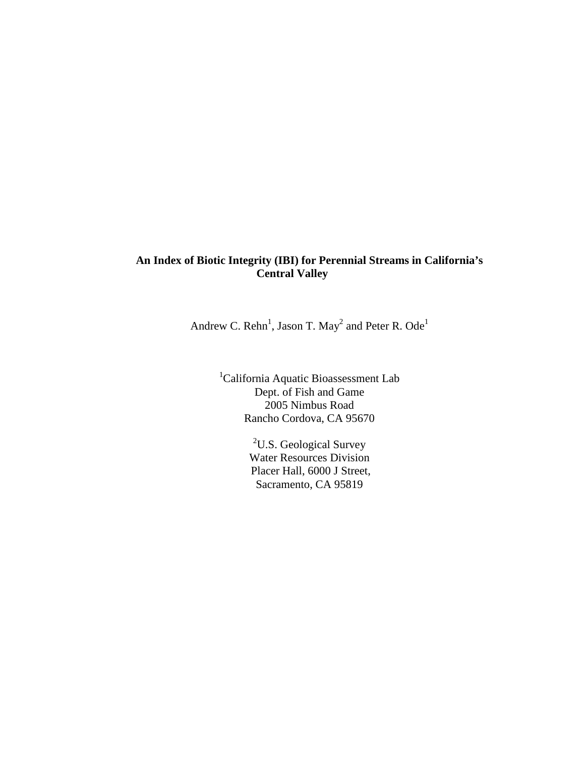### **An Index of Biotic Integrity (IBI) for Perennial Streams in California's Central Valley**

Andrew C. Rehn<sup>1</sup>, Jason T. May<sup>2</sup> and Peter R. Ode<sup>1</sup>

<sup>1</sup>California Aquatic Bioassessment Lab Dept. of Fish and Game 2005 Nimbus Road Rancho Cordova, CA 95670

> <sup>2</sup>U.S. Geological Survey Water Resources Division Placer Hall, 6000 J Street, Sacramento, CA 95819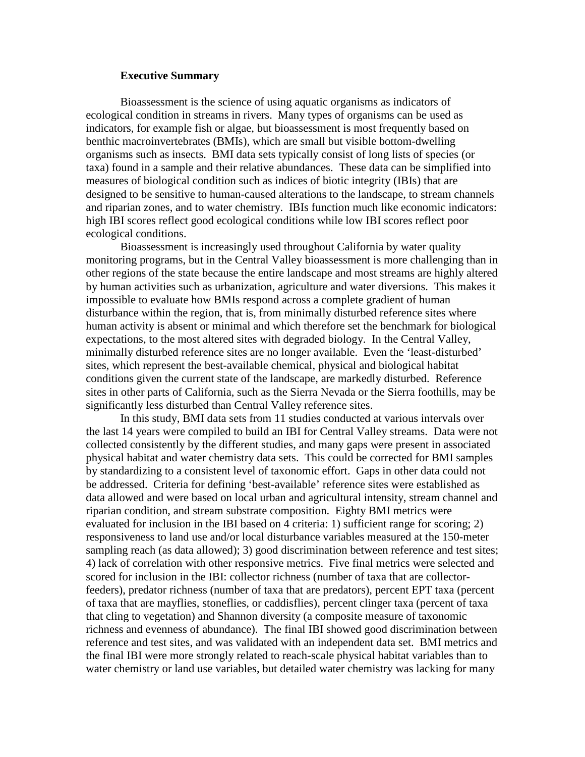#### **Executive Summary**

Bioassessment is the science of using aquatic organisms as indicators of ecological condition in streams in rivers. Many types of organisms can be used as indicators, for example fish or algae, but bioassessment is most frequently based on benthic macroinvertebrates (BMIs), which are small but visible bottom-dwelling organisms such as insects. BMI data sets typically consist of long lists of species (or taxa) found in a sample and their relative abundances. These data can be simplified into measures of biological condition such as indices of biotic integrity (IBIs) that are designed to be sensitive to human-caused alterations to the landscape, to stream channels and riparian zones, and to water chemistry. IBIs function much like economic indicators: high IBI scores reflect good ecological conditions while low IBI scores reflect poor ecological conditions.

Bioassessment is increasingly used throughout California by water quality monitoring programs, but in the Central Valley bioassessment is more challenging than in other regions of the state because the entire landscape and most streams are highly altered by human activities such as urbanization, agriculture and water diversions. This makes it impossible to evaluate how BMIs respond across a complete gradient of human disturbance within the region, that is, from minimally disturbed reference sites where human activity is absent or minimal and which therefore set the benchmark for biological expectations, to the most altered sites with degraded biology. In the Central Valley, minimally disturbed reference sites are no longer available. Even the 'least-disturbed' sites, which represent the best-available chemical, physical and biological habitat conditions given the current state of the landscape, are markedly disturbed. Reference sites in other parts of California, such as the Sierra Nevada or the Sierra foothills, may be significantly less disturbed than Central Valley reference sites.

In this study, BMI data sets from 11 studies conducted at various intervals over the last 14 years were compiled to build an IBI for Central Valley streams. Data were not collected consistently by the different studies, and many gaps were present in associated physical habitat and water chemistry data sets. This could be corrected for BMI samples by standardizing to a consistent level of taxonomic effort. Gaps in other data could not be addressed. Criteria for defining 'best-available' reference sites were established as data allowed and were based on local urban and agricultural intensity, stream channel and riparian condition, and stream substrate composition. Eighty BMI metrics were evaluated for inclusion in the IBI based on 4 criteria: 1) sufficient range for scoring; 2) responsiveness to land use and/or local disturbance variables measured at the 150-meter sampling reach (as data allowed); 3) good discrimination between reference and test sites; 4) lack of correlation with other responsive metrics. Five final metrics were selected and scored for inclusion in the IBI: collector richness (number of taxa that are collectorfeeders), predator richness (number of taxa that are predators), percent EPT taxa (percent of taxa that are mayflies, stoneflies, or caddisflies), percent clinger taxa (percent of taxa that cling to vegetation) and Shannon diversity (a composite measure of taxonomic richness and evenness of abundance). The final IBI showed good discrimination between reference and test sites, and was validated with an independent data set. BMI metrics and the final IBI were more strongly related to reach-scale physical habitat variables than to water chemistry or land use variables, but detailed water chemistry was lacking for many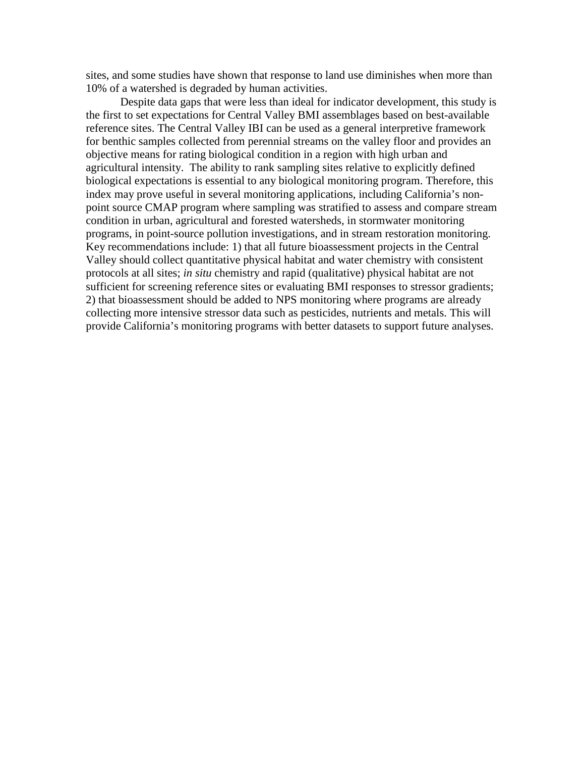sites, and some studies have shown that response to land use diminishes when more than 10% of a watershed is degraded by human activities.

Despite data gaps that were less than ideal for indicator development, this study is the first to set expectations for Central Valley BMI assemblages based on best-available reference sites. The Central Valley IBI can be used as a general interpretive framework for benthic samples collected from perennial streams on the valley floor and provides an objective means for rating biological condition in a region with high urban and agricultural intensity. The ability to rank sampling sites relative to explicitly defined biological expectations is essential to any biological monitoring program. Therefore, this index may prove useful in several monitoring applications, including California's nonpoint source CMAP program where sampling was stratified to assess and compare stream condition in urban, agricultural and forested watersheds, in stormwater monitoring programs, in point-source pollution investigations, and in stream restoration monitoring. Key recommendations include: 1) that all future bioassessment projects in the Central Valley should collect quantitative physical habitat and water chemistry with consistent protocols at all sites; *in situ* chemistry and rapid (qualitative) physical habitat are not sufficient for screening reference sites or evaluating BMI responses to stressor gradients; 2) that bioassessment should be added to NPS monitoring where programs are already collecting more intensive stressor data such as pesticides, nutrients and metals. This will provide California's monitoring programs with better datasets to support future analyses.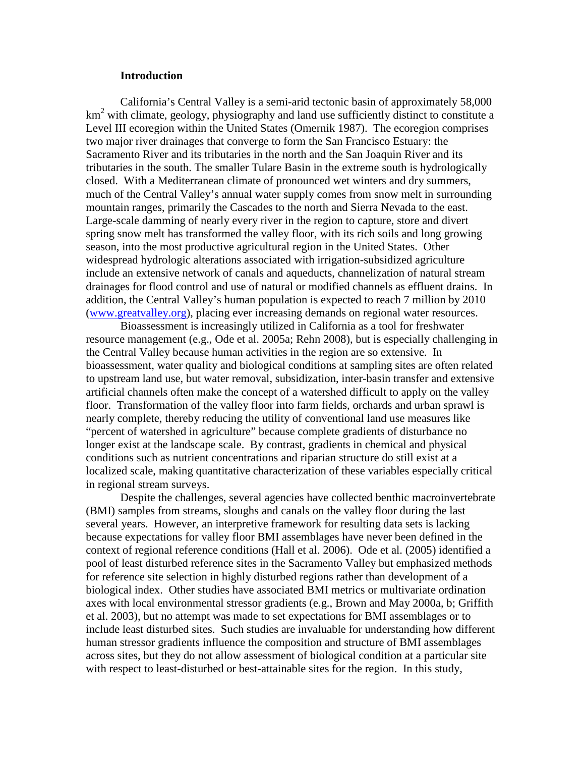#### **Introduction**

California's Central Valley is a semi-arid tectonic basin of approximately 58,000 km<sup>2</sup> with climate, geology, physiography and land use sufficiently distinct to constitute a Level III ecoregion within the United States (Omernik 1987). The ecoregion comprises two major river drainages that converge to form the San Francisco Estuary: the Sacramento River and its tributaries in the north and the San Joaquin River and its tributaries in the south. The smaller Tulare Basin in the extreme south is hydrologically closed. With a Mediterranean climate of pronounced wet winters and dry summers, much of the Central Valley's annual water supply comes from snow melt in surrounding mountain ranges, primarily the Cascades to the north and Sierra Nevada to the east. Large-scale damming of nearly every river in the region to capture, store and divert spring snow melt has transformed the valley floor, with its rich soils and long growing season, into the most productive agricultural region in the United States. Other widespread hydrologic alterations associated with irrigation-subsidized agriculture include an extensive network of canals and aqueducts, channelization of natural stream drainages for flood control and use of natural or modified channels as effluent drains. In addition, the Central Valley's human population is expected to reach 7 million by 2010 (www.greatvalley.org), placing ever increasing demands on regional water resources.

Bioassessment is increasingly utilized in California as a tool for freshwater resource management (e.g., Ode et al. 2005a; Rehn 2008), but is especially challenging in the Central Valley because human activities in the region are so extensive. In bioassessment, water quality and biological conditions at sampling sites are often related to upstream land use, but water removal, subsidization, inter-basin transfer and extensive artificial channels often make the concept of a watershed difficult to apply on the valley floor. Transformation of the valley floor into farm fields, orchards and urban sprawl is nearly complete, thereby reducing the utility of conventional land use measures like "percent of watershed in agriculture" because complete gradients of disturbance no longer exist at the landscape scale. By contrast, gradients in chemical and physical conditions such as nutrient concentrations and riparian structure do still exist at a localized scale, making quantitative characterization of these variables especially critical in regional stream surveys.

Despite the challenges, several agencies have collected benthic macroinvertebrate (BMI) samples from streams, sloughs and canals on the valley floor during the last several years. However, an interpretive framework for resulting data sets is lacking because expectations for valley floor BMI assemblages have never been defined in the context of regional reference conditions (Hall et al. 2006). Ode et al. (2005) identified a pool of least disturbed reference sites in the Sacramento Valley but emphasized methods for reference site selection in highly disturbed regions rather than development of a biological index. Other studies have associated BMI metrics or multivariate ordination axes with local environmental stressor gradients (e.g., Brown and May 2000a, b; Griffith et al. 2003), but no attempt was made to set expectations for BMI assemblages or to include least disturbed sites. Such studies are invaluable for understanding how different human stressor gradients influence the composition and structure of BMI assemblages across sites, but they do not allow assessment of biological condition at a particular site with respect to least-disturbed or best-attainable sites for the region. In this study,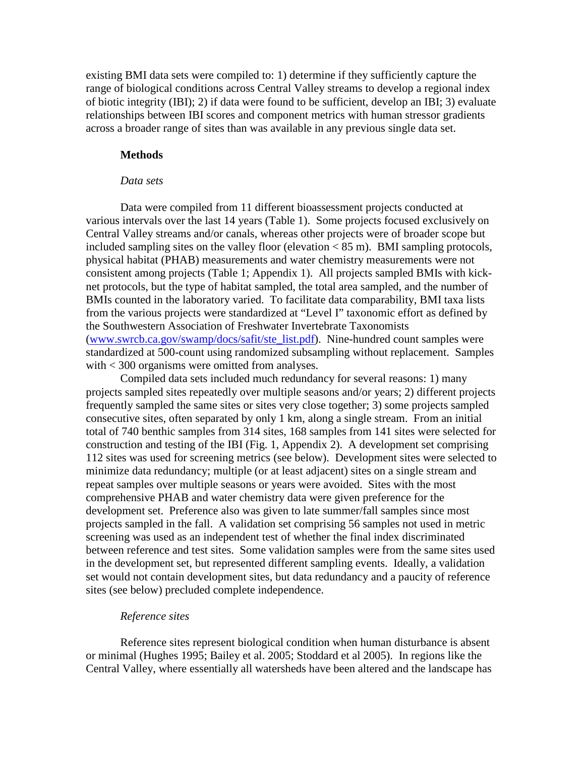existing BMI data sets were compiled to: 1) determine if they sufficiently capture the range of biological conditions across Central Valley streams to develop a regional index of biotic integrity (IBI); 2) if data were found to be sufficient, develop an IBI; 3) evaluate relationships between IBI scores and component metrics with human stressor gradients across a broader range of sites than was available in any previous single data set.

#### **Methods**

#### *Data sets*

Data were compiled from 11 different bioassessment projects conducted at various intervals over the last 14 years (Table 1). Some projects focused exclusively on Central Valley streams and/or canals, whereas other projects were of broader scope but included sampling sites on the valley floor (elevation < 85 m). BMI sampling protocols, physical habitat (PHAB) measurements and water chemistry measurements were not consistent among projects (Table 1; Appendix 1). All projects sampled BMIs with kicknet protocols, but the type of habitat sampled, the total area sampled, and the number of BMIs counted in the laboratory varied. To facilitate data comparability, BMI taxa lists from the various projects were standardized at "Level I" taxonomic effort as defined by the Southwestern Association of Freshwater Invertebrate Taxonomists (www.swrcb.ca.gov/swamp/docs/safit/ste\_list.pdf). Nine-hundred count samples were standardized at 500-count using randomized subsampling without replacement. Samples with < 300 organisms were omitted from analyses.

Compiled data sets included much redundancy for several reasons: 1) many projects sampled sites repeatedly over multiple seasons and/or years; 2) different projects frequently sampled the same sites or sites very close together; 3) some projects sampled consecutive sites, often separated by only 1 km, along a single stream. From an initial total of 740 benthic samples from 314 sites, 168 samples from 141 sites were selected for construction and testing of the IBI (Fig. 1, Appendix 2). A development set comprising 112 sites was used for screening metrics (see below). Development sites were selected to minimize data redundancy; multiple (or at least adjacent) sites on a single stream and repeat samples over multiple seasons or years were avoided. Sites with the most comprehensive PHAB and water chemistry data were given preference for the development set. Preference also was given to late summer/fall samples since most projects sampled in the fall. A validation set comprising 56 samples not used in metric screening was used as an independent test of whether the final index discriminated between reference and test sites. Some validation samples were from the same sites used in the development set, but represented different sampling events. Ideally, a validation set would not contain development sites, but data redundancy and a paucity of reference sites (see below) precluded complete independence.

#### *Reference sites*

Reference sites represent biological condition when human disturbance is absent or minimal (Hughes 1995; Bailey et al. 2005; Stoddard et al 2005). In regions like the Central Valley, where essentially all watersheds have been altered and the landscape has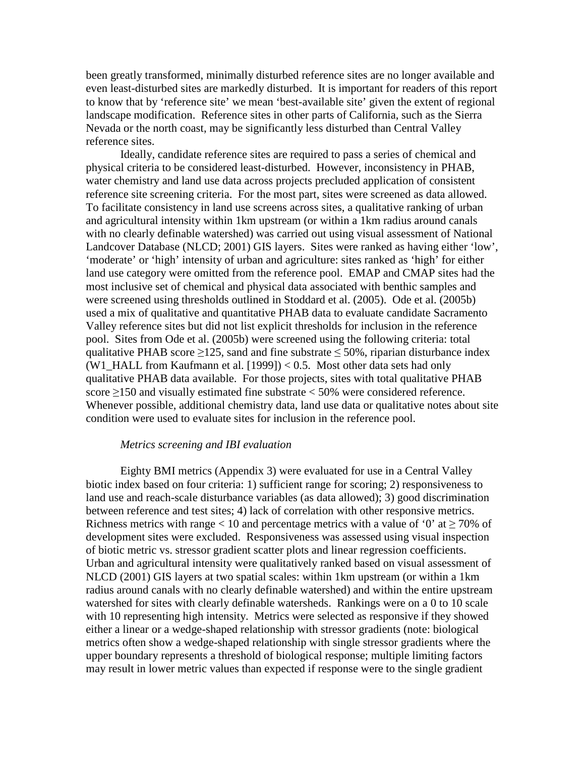been greatly transformed, minimally disturbed reference sites are no longer available and even least-disturbed sites are markedly disturbed. It is important for readers of this report to know that by 'reference site' we mean 'best-available site' given the extent of regional landscape modification. Reference sites in other parts of California, such as the Sierra Nevada or the north coast, may be significantly less disturbed than Central Valley reference sites.

Ideally, candidate reference sites are required to pass a series of chemical and physical criteria to be considered least-disturbed. However, inconsistency in PHAB, water chemistry and land use data across projects precluded application of consistent reference site screening criteria. For the most part, sites were screened as data allowed. To facilitate consistency in land use screens across sites, a qualitative ranking of urban and agricultural intensity within 1km upstream (or within a 1km radius around canals with no clearly definable watershed) was carried out using visual assessment of National Landcover Database (NLCD; 2001) GIS layers. Sites were ranked as having either 'low', 'moderate' or 'high' intensity of urban and agriculture: sites ranked as 'high' for either land use category were omitted from the reference pool. EMAP and CMAP sites had the most inclusive set of chemical and physical data associated with benthic samples and were screened using thresholds outlined in Stoddard et al. (2005). Ode et al. (2005b) used a mix of qualitative and quantitative PHAB data to evaluate candidate Sacramento Valley reference sites but did not list explicit thresholds for inclusion in the reference pool. Sites from Ode et al. (2005b) were screened using the following criteria: total qualitative PHAB score  $\geq$ 125, sand and fine substrate  $\leq$  50%, riparian disturbance index (W1\_HALL from Kaufmann et al. [1999]) < 0.5. Most other data sets had only qualitative PHAB data available. For those projects, sites with total qualitative PHAB score  $\geq$ 150 and visually estimated fine substrate < 50% were considered reference. Whenever possible, additional chemistry data, land use data or qualitative notes about site condition were used to evaluate sites for inclusion in the reference pool.

#### *Metrics screening and IBI evaluation*

Eighty BMI metrics (Appendix 3) were evaluated for use in a Central Valley biotic index based on four criteria: 1) sufficient range for scoring; 2) responsiveness to land use and reach-scale disturbance variables (as data allowed); 3) good discrimination between reference and test sites; 4) lack of correlation with other responsive metrics. Richness metrics with range < 10 and percentage metrics with a value of '0' at  $\geq$  70% of development sites were excluded. Responsiveness was assessed using visual inspection of biotic metric vs. stressor gradient scatter plots and linear regression coefficients. Urban and agricultural intensity were qualitatively ranked based on visual assessment of NLCD (2001) GIS layers at two spatial scales: within 1km upstream (or within a 1km radius around canals with no clearly definable watershed) and within the entire upstream watershed for sites with clearly definable watersheds. Rankings were on a 0 to 10 scale with 10 representing high intensity. Metrics were selected as responsive if they showed either a linear or a wedge-shaped relationship with stressor gradients (note: biological metrics often show a wedge-shaped relationship with single stressor gradients where the upper boundary represents a threshold of biological response; multiple limiting factors may result in lower metric values than expected if response were to the single gradient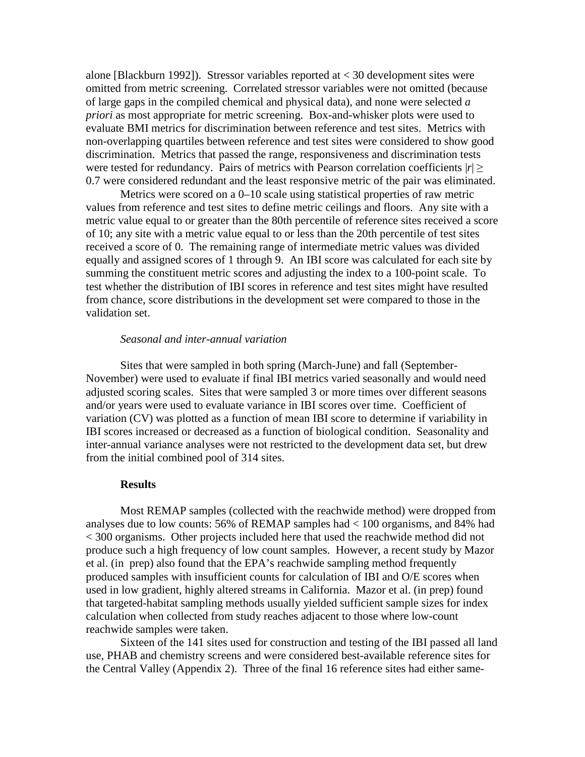alone [Blackburn 1992]). Stressor variables reported at < 30 development sites were omitted from metric screening. Correlated stressor variables were not omitted (because of large gaps in the compiled chemical and physical data), and none were selected *a priori* as most appropriate for metric screening. Box-and-whisker plots were used to evaluate BMI metrics for discrimination between reference and test sites. Metrics with non-overlapping quartiles between reference and test sites were considered to show good discrimination. Metrics that passed the range, responsiveness and discrimination tests were tested for redundancy. Pairs of metrics with Pearson correlation coefficients  $|r| \geq$ 0.7 were considered redundant and the least responsive metric of the pair was eliminated.

Metrics were scored on a 0–10 scale using statistical properties of raw metric values from reference and test sites to define metric ceilings and floors. Any site with a metric value equal to or greater than the 80th percentile of reference sites received a score of 10; any site with a metric value equal to or less than the 20th percentile of test sites received a score of 0. The remaining range of intermediate metric values was divided equally and assigned scores of 1 through 9. An IBI score was calculated for each site by summing the constituent metric scores and adjusting the index to a 100-point scale. To test whether the distribution of IBI scores in reference and test sites might have resulted from chance, score distributions in the development set were compared to those in the validation set.

#### *Seasonal and inter-annual variation*

Sites that were sampled in both spring (March-June) and fall (September-November) were used to evaluate if final IBI metrics varied seasonally and would need adjusted scoring scales. Sites that were sampled 3 or more times over different seasons and/or years were used to evaluate variance in IBI scores over time. Coefficient of variation (CV) was plotted as a function of mean IBI score to determine if variability in IBI scores increased or decreased as a function of biological condition. Seasonality and inter-annual variance analyses were not restricted to the development data set, but drew from the initial combined pool of 314 sites.

#### **Results**

Most REMAP samples (collected with the reachwide method) were dropped from analyses due to low counts: 56% of REMAP samples had < 100 organisms, and 84% had < 300 organisms. Other projects included here that used the reachwide method did not produce such a high frequency of low count samples. However, a recent study by Mazor et al. (in prep) also found that the EPA's reachwide sampling method frequently produced samples with insufficient counts for calculation of IBI and O/E scores when used in low gradient, highly altered streams in California. Mazor et al. (in prep) found that targeted-habitat sampling methods usually yielded sufficient sample sizes for index calculation when collected from study reaches adjacent to those where low-count reachwide samples were taken.

Sixteen of the 141 sites used for construction and testing of the IBI passed all land use, PHAB and chemistry screens and were considered best-available reference sites for the Central Valley (Appendix 2). Three of the final 16 reference sites had either same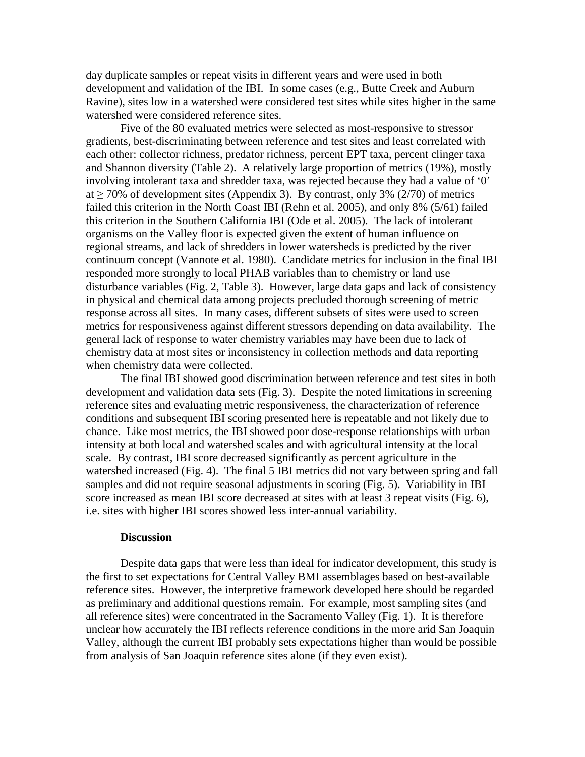day duplicate samples or repeat visits in different years and were used in both development and validation of the IBI. In some cases (e.g., Butte Creek and Auburn Ravine), sites low in a watershed were considered test sites while sites higher in the same watershed were considered reference sites.

 Five of the 80 evaluated metrics were selected as most-responsive to stressor gradients, best-discriminating between reference and test sites and least correlated with each other: collector richness, predator richness, percent EPT taxa, percent clinger taxa and Shannon diversity (Table 2). A relatively large proportion of metrics (19%), mostly involving intolerant taxa and shredder taxa, was rejected because they had a value of '0' at  $\geq$  70% of development sites (Appendix 3). By contrast, only 3% (2/70) of metrics failed this criterion in the North Coast IBI (Rehn et al. 2005), and only 8% (5/61) failed this criterion in the Southern California IBI (Ode et al. 2005). The lack of intolerant organisms on the Valley floor is expected given the extent of human influence on regional streams, and lack of shredders in lower watersheds is predicted by the river continuum concept (Vannote et al. 1980). Candidate metrics for inclusion in the final IBI responded more strongly to local PHAB variables than to chemistry or land use disturbance variables (Fig. 2, Table 3). However, large data gaps and lack of consistency in physical and chemical data among projects precluded thorough screening of metric response across all sites. In many cases, different subsets of sites were used to screen metrics for responsiveness against different stressors depending on data availability. The general lack of response to water chemistry variables may have been due to lack of chemistry data at most sites or inconsistency in collection methods and data reporting when chemistry data were collected.

The final IBI showed good discrimination between reference and test sites in both development and validation data sets (Fig. 3). Despite the noted limitations in screening reference sites and evaluating metric responsiveness, the characterization of reference conditions and subsequent IBI scoring presented here is repeatable and not likely due to chance. Like most metrics, the IBI showed poor dose-response relationships with urban intensity at both local and watershed scales and with agricultural intensity at the local scale. By contrast, IBI score decreased significantly as percent agriculture in the watershed increased (Fig. 4). The final 5 IBI metrics did not vary between spring and fall samples and did not require seasonal adjustments in scoring (Fig. 5). Variability in IBI score increased as mean IBI score decreased at sites with at least 3 repeat visits (Fig. 6), i.e. sites with higher IBI scores showed less inter-annual variability.

#### **Discussion**

Despite data gaps that were less than ideal for indicator development, this study is the first to set expectations for Central Valley BMI assemblages based on best-available reference sites. However, the interpretive framework developed here should be regarded as preliminary and additional questions remain. For example, most sampling sites (and all reference sites) were concentrated in the Sacramento Valley (Fig. 1). It is therefore unclear how accurately the IBI reflects reference conditions in the more arid San Joaquin Valley, although the current IBI probably sets expectations higher than would be possible from analysis of San Joaquin reference sites alone (if they even exist).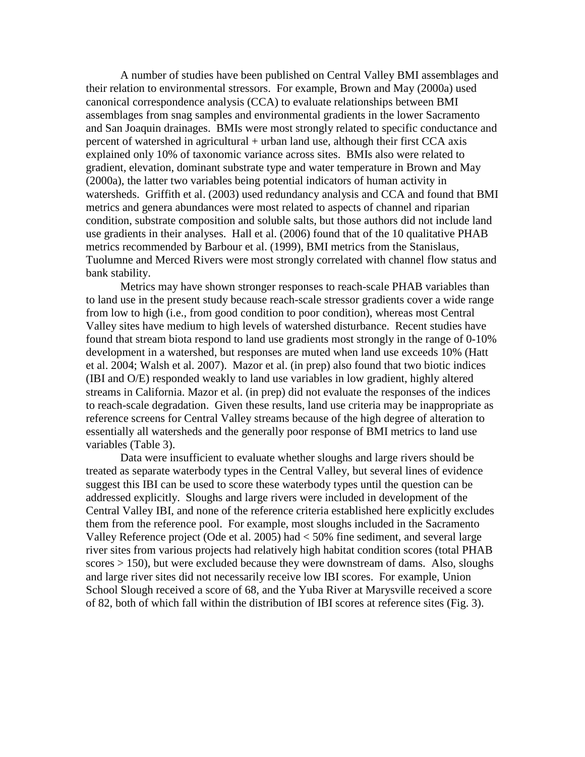A number of studies have been published on Central Valley BMI assemblages and their relation to environmental stressors. For example, Brown and May (2000a) used canonical correspondence analysis (CCA) to evaluate relationships between BMI assemblages from snag samples and environmental gradients in the lower Sacramento and San Joaquin drainages. BMIs were most strongly related to specific conductance and percent of watershed in agricultural + urban land use, although their first CCA axis explained only 10% of taxonomic variance across sites. BMIs also were related to gradient, elevation, dominant substrate type and water temperature in Brown and May (2000a), the latter two variables being potential indicators of human activity in watersheds. Griffith et al. (2003) used redundancy analysis and CCA and found that BMI metrics and genera abundances were most related to aspects of channel and riparian condition, substrate composition and soluble salts, but those authors did not include land use gradients in their analyses. Hall et al. (2006) found that of the 10 qualitative PHAB metrics recommended by Barbour et al. (1999), BMI metrics from the Stanislaus, Tuolumne and Merced Rivers were most strongly correlated with channel flow status and bank stability.

Metrics may have shown stronger responses to reach-scale PHAB variables than to land use in the present study because reach-scale stressor gradients cover a wide range from low to high (i.e., from good condition to poor condition), whereas most Central Valley sites have medium to high levels of watershed disturbance. Recent studies have found that stream biota respond to land use gradients most strongly in the range of 0-10% development in a watershed, but responses are muted when land use exceeds 10% (Hatt et al. 2004; Walsh et al. 2007). Mazor et al. (in prep) also found that two biotic indices (IBI and O/E) responded weakly to land use variables in low gradient, highly altered streams in California. Mazor et al. (in prep) did not evaluate the responses of the indices to reach-scale degradation. Given these results, land use criteria may be inappropriate as reference screens for Central Valley streams because of the high degree of alteration to essentially all watersheds and the generally poor response of BMI metrics to land use variables (Table 3).

Data were insufficient to evaluate whether sloughs and large rivers should be treated as separate waterbody types in the Central Valley, but several lines of evidence suggest this IBI can be used to score these waterbody types until the question can be addressed explicitly. Sloughs and large rivers were included in development of the Central Valley IBI, and none of the reference criteria established here explicitly excludes them from the reference pool. For example, most sloughs included in the Sacramento Valley Reference project (Ode et al. 2005) had < 50% fine sediment, and several large river sites from various projects had relatively high habitat condition scores (total PHAB scores > 150), but were excluded because they were downstream of dams. Also, sloughs and large river sites did not necessarily receive low IBI scores. For example, Union School Slough received a score of 68, and the Yuba River at Marysville received a score of 82, both of which fall within the distribution of IBI scores at reference sites (Fig. 3).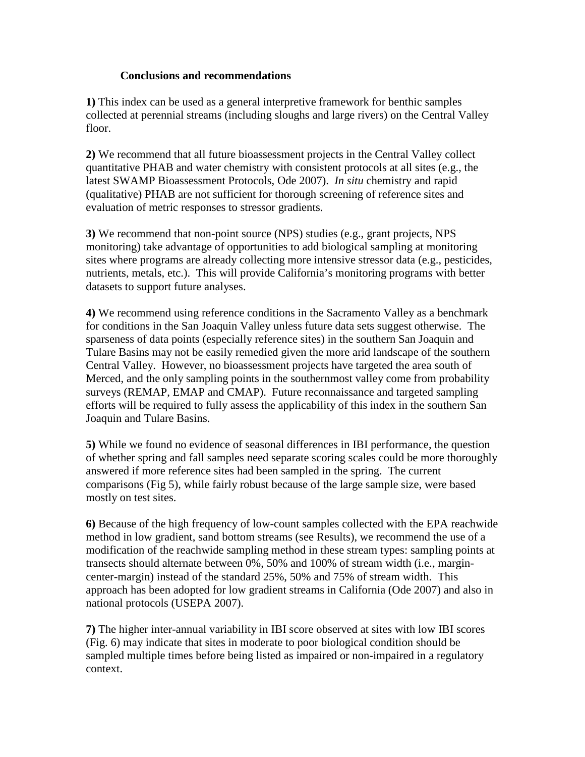### **Conclusions and recommendations**

**1)** This index can be used as a general interpretive framework for benthic samples collected at perennial streams (including sloughs and large rivers) on the Central Valley floor.

**2)** We recommend that all future bioassessment projects in the Central Valley collect quantitative PHAB and water chemistry with consistent protocols at all sites (e.g., the latest SWAMP Bioassessment Protocols, Ode 2007). *In situ* chemistry and rapid (qualitative) PHAB are not sufficient for thorough screening of reference sites and evaluation of metric responses to stressor gradients.

**3)** We recommend that non-point source (NPS) studies (e.g., grant projects, NPS monitoring) take advantage of opportunities to add biological sampling at monitoring sites where programs are already collecting more intensive stressor data (e.g., pesticides, nutrients, metals, etc.). This will provide California's monitoring programs with better datasets to support future analyses.

**4)** We recommend using reference conditions in the Sacramento Valley as a benchmark for conditions in the San Joaquin Valley unless future data sets suggest otherwise. The sparseness of data points (especially reference sites) in the southern San Joaquin and Tulare Basins may not be easily remedied given the more arid landscape of the southern Central Valley. However, no bioassessment projects have targeted the area south of Merced, and the only sampling points in the southernmost valley come from probability surveys (REMAP, EMAP and CMAP). Future reconnaissance and targeted sampling efforts will be required to fully assess the applicability of this index in the southern San Joaquin and Tulare Basins.

**5)** While we found no evidence of seasonal differences in IBI performance, the question of whether spring and fall samples need separate scoring scales could be more thoroughly answered if more reference sites had been sampled in the spring. The current comparisons (Fig 5), while fairly robust because of the large sample size, were based mostly on test sites.

**6)** Because of the high frequency of low-count samples collected with the EPA reachwide method in low gradient, sand bottom streams (see Results), we recommend the use of a modification of the reachwide sampling method in these stream types: sampling points at transects should alternate between 0%, 50% and 100% of stream width (i.e., margincenter-margin) instead of the standard 25%, 50% and 75% of stream width. This approach has been adopted for low gradient streams in California (Ode 2007) and also in national protocols (USEPA 2007).

**7)** The higher inter-annual variability in IBI score observed at sites with low IBI scores (Fig. 6) may indicate that sites in moderate to poor biological condition should be sampled multiple times before being listed as impaired or non-impaired in a regulatory context.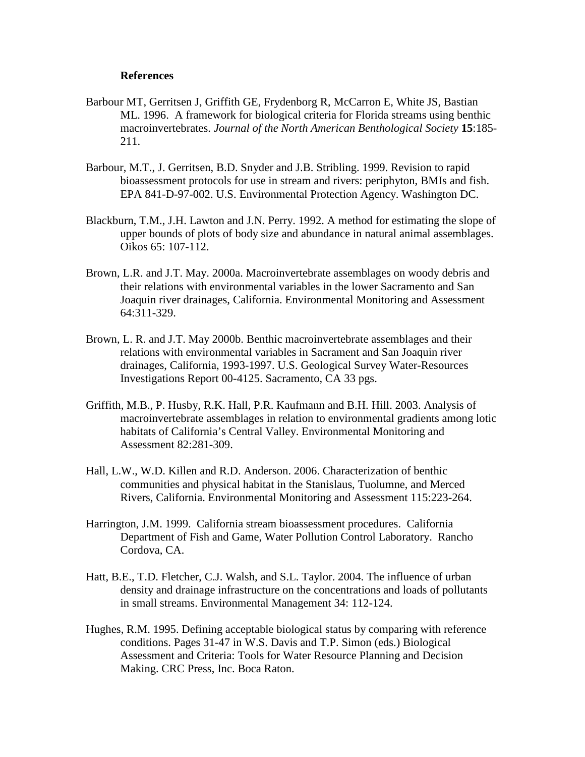#### **References**

- Barbour MT, Gerritsen J, Griffith GE, Frydenborg R, McCarron E, White JS, Bastian ML. 1996. A framework for biological criteria for Florida streams using benthic macroinvertebrates. *Journal of the North American Benthological Society* **15**:185- 211.
- Barbour, M.T., J. Gerritsen, B.D. Snyder and J.B. Stribling. 1999. Revision to rapid bioassessment protocols for use in stream and rivers: periphyton, BMIs and fish. EPA 841-D-97-002. U.S. Environmental Protection Agency. Washington DC.
- Blackburn, T.M., J.H. Lawton and J.N. Perry. 1992. A method for estimating the slope of upper bounds of plots of body size and abundance in natural animal assemblages. Oikos 65: 107-112.
- Brown, L.R. and J.T. May. 2000a. Macroinvertebrate assemblages on woody debris and their relations with environmental variables in the lower Sacramento and San Joaquin river drainages, California. Environmental Monitoring and Assessment 64:311-329.
- Brown, L. R. and J.T. May 2000b. Benthic macroinvertebrate assemblages and their relations with environmental variables in Sacrament and San Joaquin river drainages, California, 1993-1997. U.S. Geological Survey Water-Resources Investigations Report 00-4125. Sacramento, CA 33 pgs.
- Griffith, M.B., P. Husby, R.K. Hall, P.R. Kaufmann and B.H. Hill. 2003. Analysis of macroinvertebrate assemblages in relation to environmental gradients among lotic habitats of California's Central Valley. Environmental Monitoring and Assessment 82:281-309.
- Hall, L.W., W.D. Killen and R.D. Anderson. 2006. Characterization of benthic communities and physical habitat in the Stanislaus, Tuolumne, and Merced Rivers, California. Environmental Monitoring and Assessment 115:223-264.
- Harrington, J.M. 1999. California stream bioassessment procedures. California Department of Fish and Game, Water Pollution Control Laboratory. Rancho Cordova, CA.
- Hatt, B.E., T.D. Fletcher, C.J. Walsh, and S.L. Taylor. 2004. The influence of urban density and drainage infrastructure on the concentrations and loads of pollutants in small streams. Environmental Management 34: 112-124.
- Hughes, R.M. 1995. Defining acceptable biological status by comparing with reference conditions. Pages 31-47 in W.S. Davis and T.P. Simon (eds.) Biological Assessment and Criteria: Tools for Water Resource Planning and Decision Making. CRC Press, Inc. Boca Raton.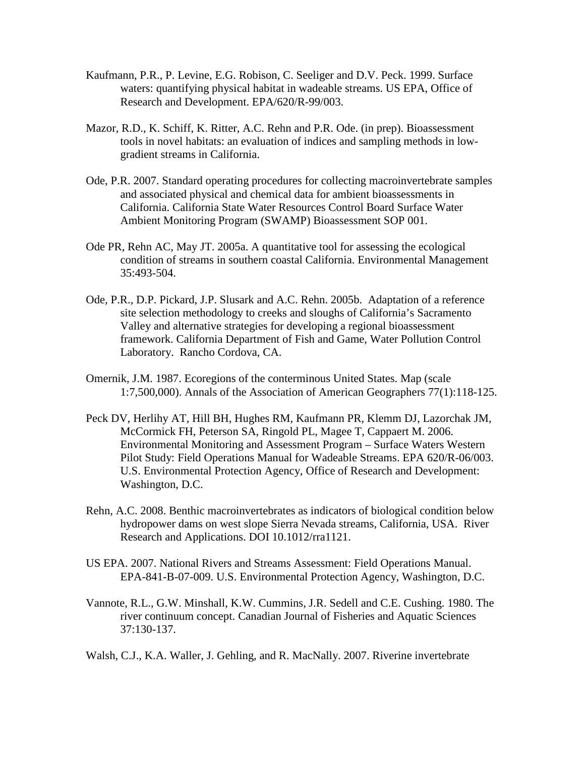- Kaufmann, P.R., P. Levine, E.G. Robison, C. Seeliger and D.V. Peck. 1999. Surface waters: quantifying physical habitat in wadeable streams. US EPA, Office of Research and Development. EPA/620/R-99/003.
- Mazor, R.D., K. Schiff, K. Ritter, A.C. Rehn and P.R. Ode. (in prep). Bioassessment tools in novel habitats: an evaluation of indices and sampling methods in lowgradient streams in California.
- Ode, P.R. 2007. Standard operating procedures for collecting macroinvertebrate samples and associated physical and chemical data for ambient bioassessments in California. California State Water Resources Control Board Surface Water Ambient Monitoring Program (SWAMP) Bioassessment SOP 001.
- Ode PR, Rehn AC, May JT. 2005a. A quantitative tool for assessing the ecological condition of streams in southern coastal California. Environmental Management 35:493-504.
- Ode, P.R., D.P. Pickard, J.P. Slusark and A.C. Rehn. 2005b. Adaptation of a reference site selection methodology to creeks and sloughs of California's Sacramento Valley and alternative strategies for developing a regional bioassessment framework. California Department of Fish and Game, Water Pollution Control Laboratory. Rancho Cordova, CA.
- Omernik, J.M. 1987. Ecoregions of the conterminous United States. Map (scale 1:7,500,000). Annals of the Association of American Geographers 77(1):118-125.
- Peck DV, Herlihy AT, Hill BH, Hughes RM, Kaufmann PR, Klemm DJ, Lazorchak JM, McCormick FH, Peterson SA, Ringold PL, Magee T, Cappaert M. 2006. Environmental Monitoring and Assessment Program – Surface Waters Western Pilot Study: Field Operations Manual for Wadeable Streams. EPA 620/R-06/003. U.S. Environmental Protection Agency, Office of Research and Development: Washington, D.C.
- Rehn, A.C. 2008. Benthic macroinvertebrates as indicators of biological condition below hydropower dams on west slope Sierra Nevada streams, California, USA. River Research and Applications. DOI 10.1012/rra1121.
- US EPA. 2007. National Rivers and Streams Assessment: Field Operations Manual. EPA-841-B-07-009. U.S. Environmental Protection Agency, Washington, D.C.
- Vannote, R.L., G.W. Minshall, K.W. Cummins, J.R. Sedell and C.E. Cushing. 1980. The river continuum concept. Canadian Journal of Fisheries and Aquatic Sciences 37:130-137.
- Walsh, C.J., K.A. Waller, J. Gehling, and R. MacNally. 2007. Riverine invertebrate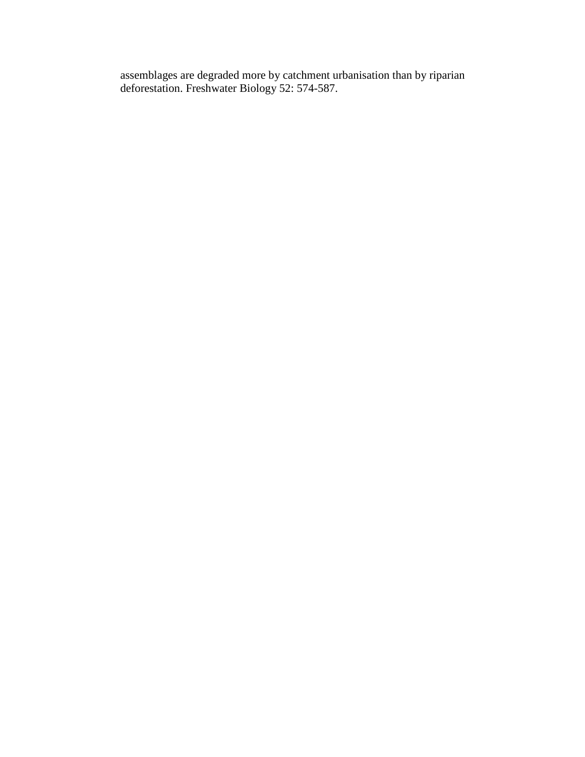assemblages are degraded more by catchment urbanisation than by riparian deforestation. Freshwater Biology 52: 574-587.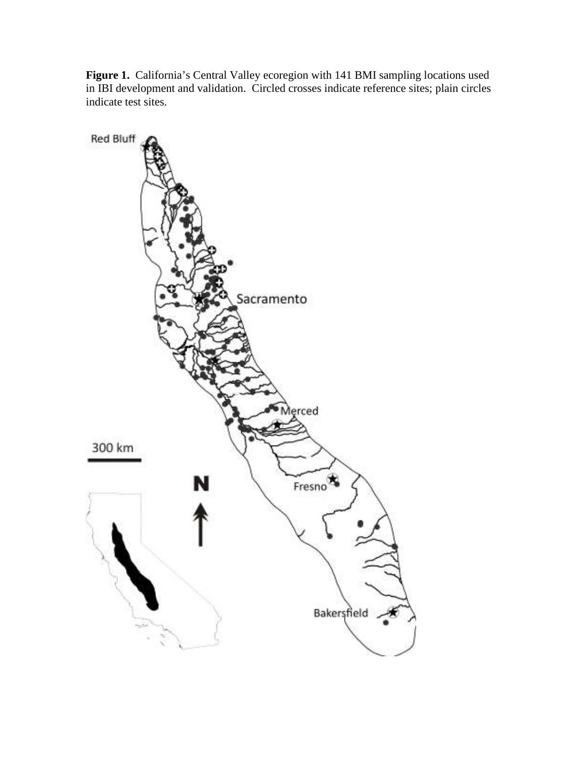Figure 1. California's Central Valley ecoregion with 141 BMI sampling locations used in IBI development and validation. Circled crosses indicate reference sites; plain circles indicate test sites.

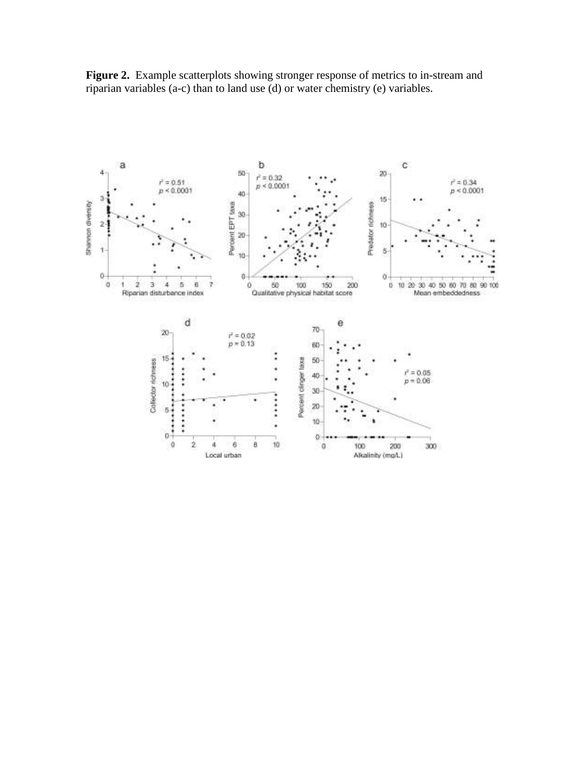Figure 2. Example scatterplots showing stronger response of metrics to in-stream and riparian variables (a-c) than to land use (d) or water chemistry (e) variables.

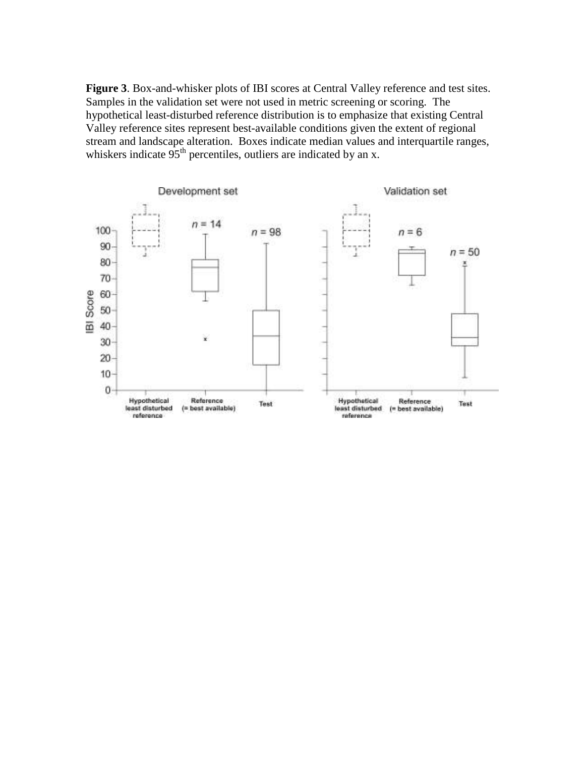**Figure 3**. Box-and-whisker plots of IBI scores at Central Valley reference and test sites. Samples in the validation set were not used in metric screening or scoring. The hypothetical least-disturbed reference distribution is to emphasize that existing Central Valley reference sites represent best-available conditions given the extent of regional stream and landscape alteration. Boxes indicate median values and interquartile ranges, whiskers indicate  $95<sup>th</sup>$  percentiles, outliers are indicated by an x.

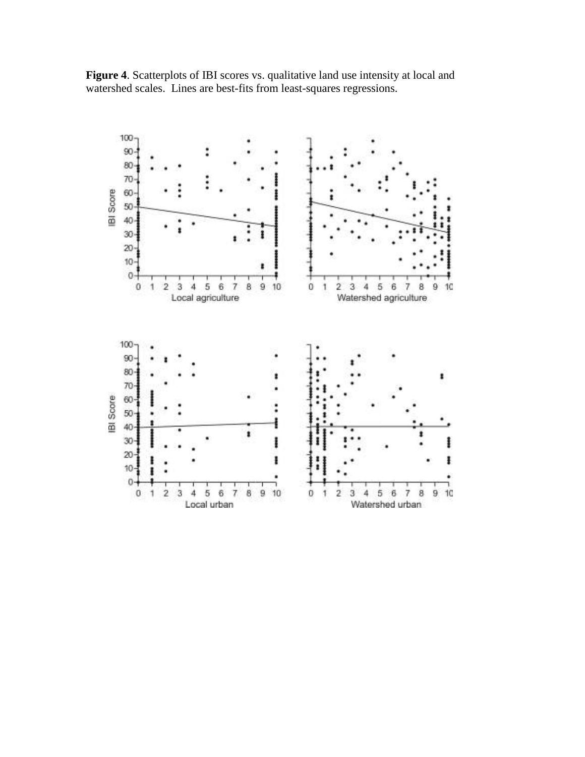

**Figure 4**. Scatterplots of IBI scores vs. qualitative land use intensity at local and watershed scales. Lines are best-fits from least-squares regressions.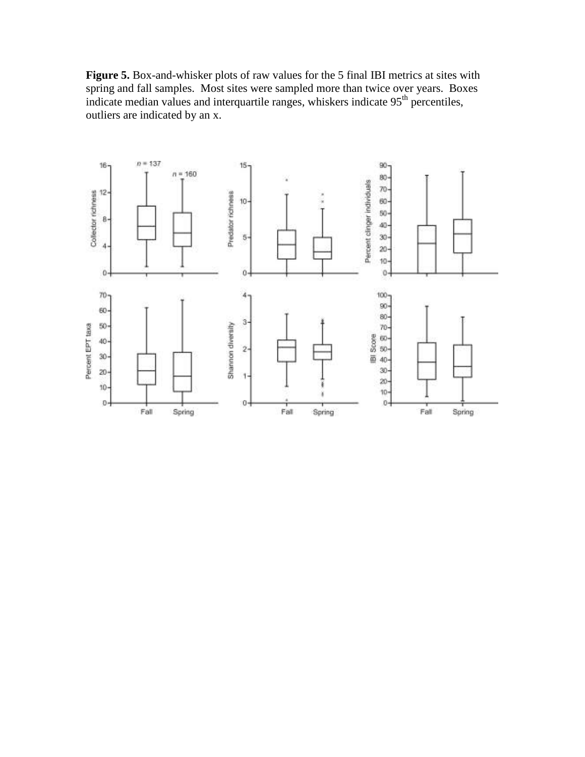**Figure 5.** Box-and-whisker plots of raw values for the 5 final IBI metrics at sites with spring and fall samples. Most sites were sampled more than twice over years. Boxes indicate median values and interquartile ranges, whiskers indicate 95<sup>th</sup> percentiles, outliers are indicated by an x.

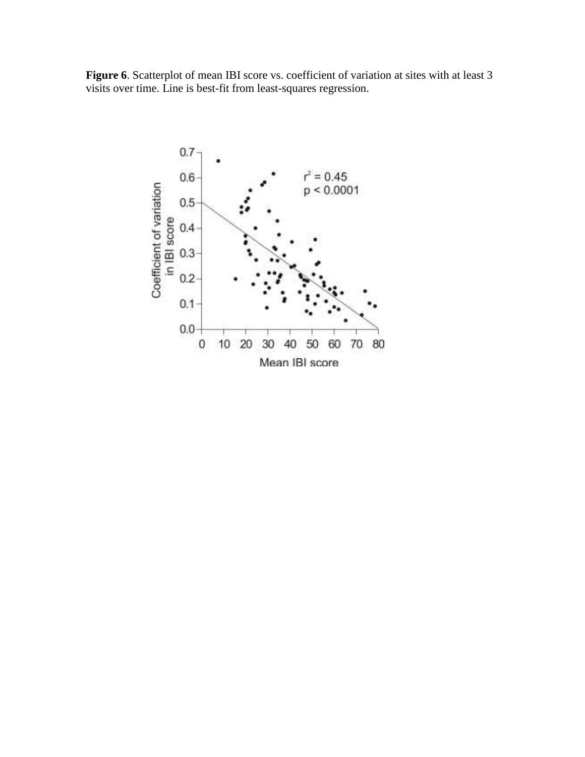Figure 6. Scatterplot of mean IBI score vs. coefficient of variation at sites with at least 3 visits over time. Line is best-fit from least-squares regression.

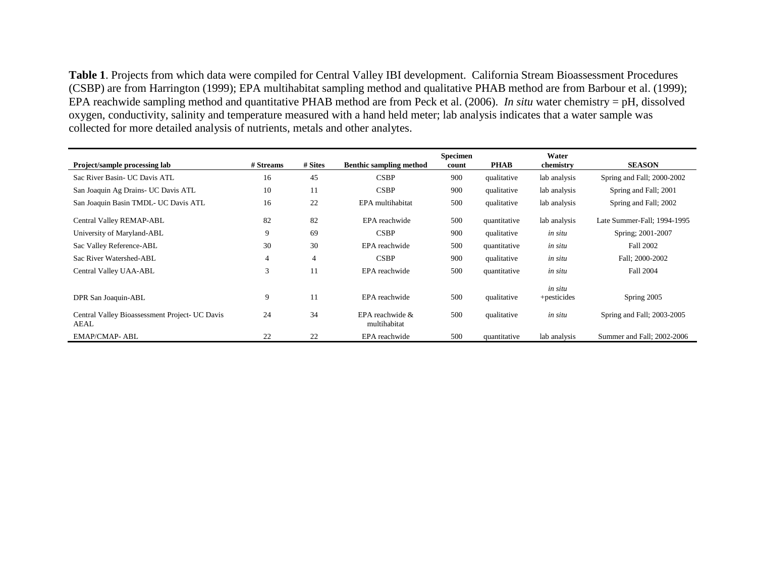**Table 1**. Projects from which data were compiled for Central Valley IBI development. California Stream Bioassessment Procedures (CSBP) are from Harrington (1999); EPA multihabitat sampling method and qualitative PHAB method are from Barbour et al. (1999); EPA reachwide sampling method and quantitative PHAB method are from Peck et al. (2006). *In situ* water chemistry = pH, dissolved oxygen, conductivity, salinity and temperature measured with a hand held meter; lab analysis indicates that a water sample was collected for more detailed analysis of nutrients, metals and other analytes.

| <b>Project/sample processing lab</b>                   | # Streams | # Sites        | <b>Benthic sampling method</b>  | <b>Specimen</b><br>count | <b>PHAB</b>  | Water<br>chemistry | <b>SEASON</b>               |
|--------------------------------------------------------|-----------|----------------|---------------------------------|--------------------------|--------------|--------------------|-----------------------------|
|                                                        |           |                |                                 |                          |              |                    |                             |
| Sac River Basin- UC Davis ATL                          | 16        | 45             | <b>CSBP</b>                     | 900                      | qualitative  | lab analysis       | Spring and Fall; 2000-2002  |
| San Joaquin Ag Drains- UC Davis ATL                    | 10        | 11             | <b>CSBP</b>                     | 900                      | qualitative  | lab analysis       | Spring and Fall; 2001       |
| San Joaquin Basin TMDL- UC Davis ATL                   | 16        | 22             | EPA multihabitat                | 500                      | qualitative  | lab analysis       | Spring and Fall; 2002       |
| Central Valley REMAP-ABL                               | 82        | 82             | EPA reachwide                   | 500                      | quantitative | lab analysis       | Late Summer-Fall; 1994-1995 |
| University of Maryland-ABL                             | 9         | 69             | <b>CSBP</b>                     | 900                      | qualitative  | in situ            | Spring; 2001-2007           |
| Sac Valley Reference-ABL                               | 30        | 30             | EPA reachwide                   | 500                      | quantitative | in situ            | Fall 2002                   |
| Sac River Watershed-ABL                                | 4         | $\overline{4}$ | <b>CSBP</b>                     | 900                      | qualitative  | in situ            | Fall; 2000-2002             |
| Central Valley UAA-ABL                                 | 3         | 11             | EPA reachwide                   | 500                      | quantitative | in situ            | Fall 2004                   |
|                                                        |           |                |                                 |                          |              | in situ            |                             |
| DPR San Joaquin-ABL                                    | 9         | 11             | EPA reachwide                   | 500                      | qualitative  | +pesticides        | Spring 2005                 |
| Central Valley Bioassessment Project- UC Davis<br>AEAL | 24        | 34             | EPA reachwide &<br>multihabitat | 500                      | qualitative  | in situ            | Spring and Fall; 2003-2005  |
| <b>EMAP/CMAP- ABL</b>                                  | 22        | 22             | EPA reachwide                   | 500                      | quantitative | lab analysis       | Summer and Fall; 2002-2006  |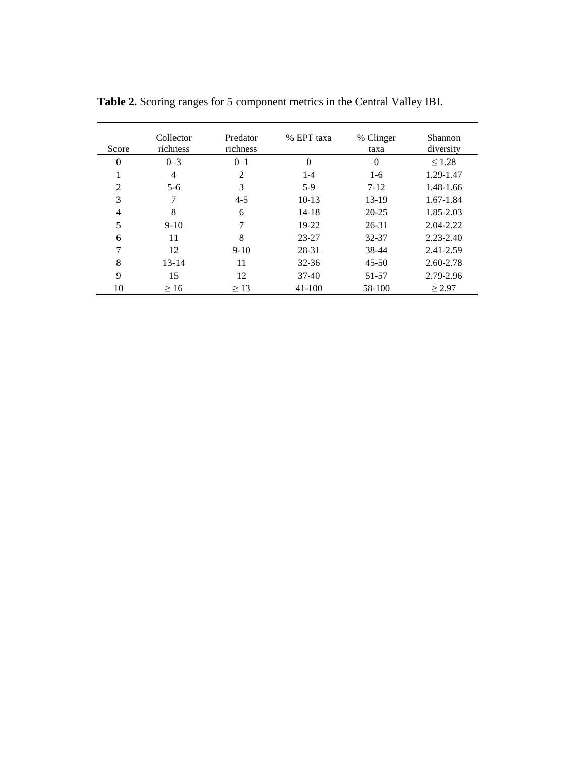| Score          | Collector<br>richness | Predator<br>richness | % EPT taxa | % Clinger<br>taxa | Shannon<br>diversity |
|----------------|-----------------------|----------------------|------------|-------------------|----------------------|
| $\theta$       | $0 - 3$               | $0 - 1$              | $\theta$   | $\overline{0}$    | $\leq 1.28$          |
|                | 4                     | 2                    | $1 - 4$    | $1-6$             | 1.29-1.47            |
| $\overline{2}$ | $5-6$                 | 3                    | $5-9$      | $7 - 12$          | 1.48-1.66            |
| 3              | 7                     | $4 - 5$              | $10-13$    | $13-19$           | 1.67-1.84            |
| 4              | 8                     | 6                    | $14 - 18$  | $20 - 25$         | 1.85-2.03            |
| 5              | $9-10$                | 7                    | 19-22      | $26 - 31$         | 2.04-2.22            |
| 6              | 11                    | 8                    | $23 - 27$  | 32-37             | $2.23 - 2.40$        |
|                | 12                    | $9-10$               | 28-31      | 38-44             | 2.41-2.59            |
| 8              | $13 - 14$             | 11                   | $32 - 36$  | $45 - 50$         | 2.60-2.78            |
| 9              | 15                    | 12                   | $37-40$    | 51-57             | 2.79-2.96            |
| 10             | >16                   | $\geq$ 13            | $41-100$   | 58-100            | > 2.97               |

 **Table 2.** Scoring ranges for 5 component metrics in the Central Valley IBI.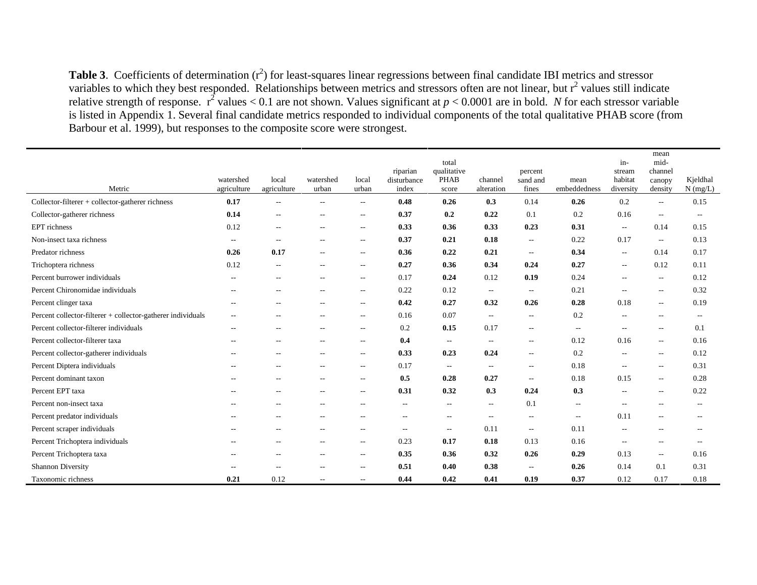**Table 3**. Coefficients of determination  $(r^2)$  for least-squares linear regressions between final candidate IBI metrics and stressor variables to which they best responded. Relationships between metrics and stressors often are not linear, but  $r^2$  values still indicate relative strength of response.  $r^2$  values < 0.1 are not shown. Values significant at  $p < 0.0001$  are in bold. *N* for each stressor variable is listed in Appendix 1. Several final candidate metrics responded to individual components of the total qualitative PHAB score (from Barbour et al. 1999), but responses to the composite score were strongest.

| Metric                                                      | watershed<br>agriculture | local<br>agriculture     | watershed<br>urban       | local<br>urban           | riparian<br>disturbance<br>index | total<br>qualitative<br><b>PHAB</b><br>score | channel<br>alteration    | percent<br>sand and<br>fines | mean<br>embeddedness | in-<br>stream<br>habitat<br>diversity | mean<br>mid-<br>channel<br>canopy<br>density | Kjeldhal<br>$N$ (mg/L)   |
|-------------------------------------------------------------|--------------------------|--------------------------|--------------------------|--------------------------|----------------------------------|----------------------------------------------|--------------------------|------------------------------|----------------------|---------------------------------------|----------------------------------------------|--------------------------|
| Collector-filterer + collector-gatherer richness            | 0.17                     | $\overline{a}$           | $\sim$ $\sim$            | $\overline{\phantom{a}}$ | 0.48                             | 0.26                                         | 0.3                      | 0.14                         | 0.26                 | 0.2                                   | $\overline{\phantom{a}}$                     | 0.15                     |
| Collector-gatherer richness                                 | 0.14                     | $\overline{\phantom{a}}$ | $\sim$ $-$               | $\overline{\phantom{a}}$ | 0.37                             | 0.2                                          | 0.22                     | 0.1                          | 0.2                  | 0.16                                  | $\overline{\phantom{m}}$                     | $\overline{\phantom{a}}$ |
| EPT richness                                                | 0.12                     | $\overline{\phantom{a}}$ | $\sim$ $-$               | $\overline{\phantom{m}}$ | 0.33                             | 0.36                                         | 0.33                     | 0.23                         | 0.31                 | $\overline{\phantom{a}}$              | 0.14                                         | 0.15                     |
| Non-insect taxa richness                                    | $\overline{\phantom{a}}$ | $\overline{\phantom{a}}$ | $\sim$ $\sim$            | $\overline{\phantom{a}}$ | 0.37                             | 0.21                                         | 0.18                     | $\overline{\phantom{a}}$     | 0.22                 | 0.17                                  | $\overline{\phantom{a}}$                     | 0.13                     |
| Predator richness                                           | 0.26                     | 0.17                     | --                       | $\overline{\phantom{m}}$ | 0.36                             | 0.22                                         | 0.21                     | $\overline{\phantom{a}}$     | 0.34                 | $\overline{\phantom{a}}$              | 0.14                                         | 0.17                     |
| Trichoptera richness                                        | 0.12                     | $\overline{\phantom{a}}$ | $\overline{\phantom{m}}$ | $\overline{\phantom{a}}$ | 0.27                             | 0.36                                         | 0.34                     | 0.24                         | 0.27                 | $- -$                                 | 0.12                                         | 0.11                     |
| Percent burrower individuals                                | $\overline{\phantom{a}}$ | $\sim$ $-$               | $\overline{\phantom{a}}$ | $\overline{\phantom{a}}$ | 0.17                             | 0.24                                         | 0.12                     | 0.19                         | 0.24                 | $\qquad \qquad -$                     | $\sim$                                       | 0.12                     |
| Percent Chironomidae individuals                            | $\overline{\phantom{a}}$ | $\overline{a}$           | $\sim$ $-$               | $\overline{\phantom{a}}$ | 0.22                             | 0.12                                         | $- -$                    | $\overline{\phantom{m}}$     | 0.21                 | $\overline{a}$                        | $\overline{\phantom{m}}$                     | 0.32                     |
| Percent clinger taxa                                        | $\overline{\phantom{m}}$ | $\overline{\phantom{a}}$ | $\overline{\phantom{m}}$ | $\overline{\phantom{a}}$ | 0.42                             | 0.27                                         | 0.32                     | 0.26                         | 0.28                 | 0.18                                  | $\overline{\phantom{a}}$                     | 0.19                     |
| Percent collector-filterer + collector-gatherer individuals | $\overline{\phantom{a}}$ | $-$                      | $-$                      | $\overline{\phantom{m}}$ | 0.16                             | 0.07                                         | $- -$                    | $\overline{\phantom{m}}$     | 0.2                  | $\qquad \qquad -$                     | $\overline{\phantom{m}}$                     | $\sim$                   |
| Percent collector-filterer individuals                      | $\overline{a}$           |                          | $-$                      | $\overline{\phantom{a}}$ | 0.2                              | 0.15                                         | 0.17                     | $- -$                        | $\sim$               | $\qquad \qquad -$                     | $\sim$                                       | 0.1                      |
| Percent collector-filterer taxa                             | $\sim$                   | $-$                      | $\sim$ $-$               | $--$                     | 0.4                              | $\sim$ $\sim$                                | $\hspace{0.05cm} \ldots$ | $\overline{\phantom{a}}$     | 0.12                 | 0.16                                  | $\sim$                                       | 0.16                     |
| Percent collector-gatherer individuals                      | $\overline{\phantom{a}}$ | $-$                      | $\sim$ $-$               | $\overline{\phantom{m}}$ | 0.33                             | 0.23                                         | 0.24                     | $\overline{\phantom{m}}$     | 0.2                  | $\overline{\phantom{a}}$              | $\sim$                                       | 0.12                     |
| Percent Diptera individuals                                 | $\sim$ $\sim$            | $\sim$ $\sim$            | $\sim$ $\sim$            | $--$                     | 0.17                             | $--$                                         | $\overline{\phantom{a}}$ | $\overline{\phantom{a}}$     | 0.18                 | $\overline{a}$                        | $--$                                         | 0.31                     |
| Percent dominant taxon                                      |                          | $-$                      | $\overline{\phantom{m}}$ | $\overline{\phantom{m}}$ | 0.5                              | 0.28                                         | 0.27                     | $\overline{\phantom{m}}$     | 0.18                 | 0.15                                  | $\overline{\phantom{a}}$                     | 0.28                     |
| Percent EPT taxa                                            | $\overline{\phantom{a}}$ | $-$                      | $-$                      | $\overline{\phantom{m}}$ | 0.31                             | 0.32                                         | 0.3                      | 0.24                         | 0.3                  | $\overline{\phantom{a}}$              | $\sim$                                       | 0.22                     |
| Percent non-insect taxa                                     |                          | $-$                      | $\sim$ $-$               | $\sim$                   | $\overline{\phantom{a}}$         | $\sim$                                       | $\overline{\phantom{a}}$ | 0.1                          | $\sim$               | $\qquad \qquad -$                     | $\sim$                                       | $\sim$                   |
| Percent predator individuals                                | $\overline{\phantom{a}}$ | $-$                      | $\sim$ $-$               | $\overline{\phantom{a}}$ | $\overline{\phantom{a}}$         | $\sim$                                       | $\hspace{0.05cm} \ldots$ | $\overline{\phantom{m}}$     | $\overline{a}$       | 0.11                                  | $\sim$ $\sim$                                | $\sim$                   |
| Percent scraper individuals                                 | $\overline{\phantom{m}}$ | $ -$                     | $\overline{\phantom{m}}$ | $\overline{\phantom{a}}$ | $\hspace{0.05cm} \ldots$         | $\sim$ $\sim$                                | 0.11                     | $\overline{\phantom{m}}$     | 0.11                 | $\hspace{0.05cm} \ldots$              | $\overline{\phantom{a}}$                     | $\overline{\phantom{m}}$ |
| Percent Trichoptera individuals                             |                          | $-$                      | $\overline{\phantom{a}}$ | $\overline{\phantom{a}}$ | 0.23                             | 0.17                                         | 0.18                     | 0.13                         | 0.16                 | $\frac{1}{2}$                         | $ -$                                         | $\sim$ $\sim$            |
| Percent Trichoptera taxa                                    |                          |                          | --                       | $\overline{\phantom{a}}$ | 0.35                             | 0.36                                         | 0.32                     | 0.26                         | 0.29                 | 0.13                                  | $\sim$ $\sim$                                | 0.16                     |
| <b>Shannon Diversity</b>                                    | $\overline{\phantom{a}}$ | $\overline{\phantom{a}}$ | $-$                      | $\overline{\phantom{m}}$ | 0.51                             | 0.40                                         | 0.38                     | $\overline{\phantom{a}}$     | 0.26                 | 0.14                                  | 0.1                                          | 0.31                     |
| Taxonomic richness                                          | 0.21                     | 0.12                     | $\sim$ $\sim$            | $\overline{\phantom{a}}$ | 0.44                             | 0.42                                         | 0.41                     | 0.19                         | 0.37                 | 0.12                                  | 0.17                                         | 0.18                     |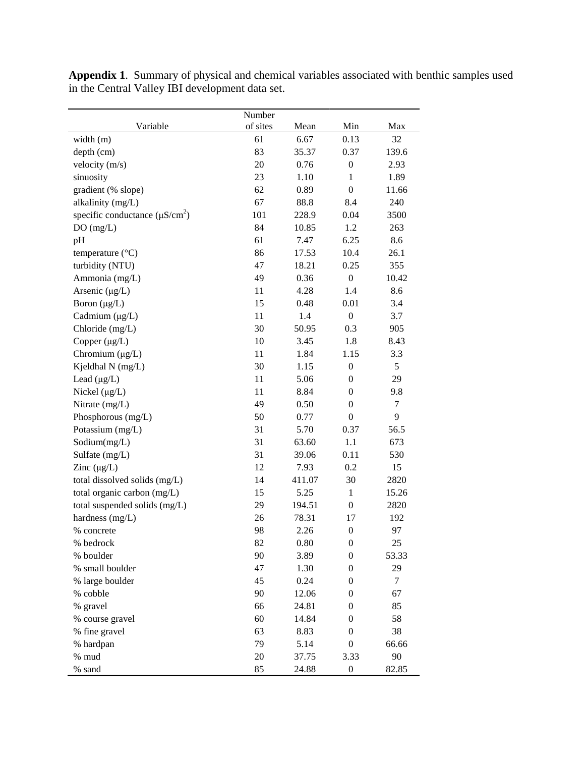|                                     | Number   |        |                  |                  |
|-------------------------------------|----------|--------|------------------|------------------|
| Variable                            | of sites | Mean   | Min              | Max              |
| width (m)                           | 61       | 6.67   | 0.13             | 32               |
| depth (cm)                          | 83       | 35.37  | 0.37             | 139.6            |
| velocity (m/s)                      | 20       | 0.76   | $\boldsymbol{0}$ | 2.93             |
| sinuosity                           | 23       | 1.10   | 1                | 1.89             |
| gradient (% slope)                  | 62       | 0.89   | $\mathbf{0}$     | 11.66            |
| alkalinity (mg/L)                   | 67       | 88.8   | 8.4              | 240              |
| specific conductance $(\mu S/cm^2)$ | 101      | 228.9  | 0.04             | 3500             |
| DO(mg/L)                            | 84       | 10.85  | 1.2              | 263              |
| pH                                  | 61       | 7.47   | 6.25             | 8.6              |
| temperature $(^{\circ}C)$           | 86       | 17.53  | 10.4             | 26.1             |
| turbidity (NTU)                     | 47       | 18.21  | 0.25             | 355              |
| Ammonia (mg/L)                      | 49       | 0.36   | $\boldsymbol{0}$ | 10.42            |
| Arsenic $(\mu g/L)$                 | 11       | 4.28   | 1.4              | 8.6              |
| Boron $(\mu g/L)$                   | 15       | 0.48   | 0.01             | 3.4              |
| Cadmium (µg/L)                      | 11       | 1.4    | $\boldsymbol{0}$ | 3.7              |
| Chloride (mg/L)                     | 30       | 50.95  | 0.3              | 905              |
| Copper $(\mu g/L)$                  | 10       | 3.45   | 1.8              | 8.43             |
| Chromium $(\mu g/L)$                | 11       | 1.84   | 1.15             | 3.3              |
| Kjeldhal N (mg/L)                   | 30       | 1.15   | $\boldsymbol{0}$ | 5                |
| Lead $(\mu g/L)$                    | 11       | 5.06   | $\boldsymbol{0}$ | 29               |
| Nickel $(\mu g/L)$                  | 11       | 8.84   | $\boldsymbol{0}$ | 9.8              |
| Nitrate (mg/L)                      | 49       | 0.50   | $\boldsymbol{0}$ | $\boldsymbol{7}$ |
| Phosphorous (mg/L)                  | 50       | 0.77   | $\boldsymbol{0}$ | 9                |
| Potassium (mg/L)                    | 31       | 5.70   | 0.37             | 56.5             |
| Sodium(mg/L)                        | 31       | 63.60  | 1.1              | 673              |
| Sulfate (mg/L)                      | 31       | 39.06  | 0.11             | 530              |
| Zinc $(\mu g/L)$                    | 12       | 7.93   | 0.2              | 15               |
| total dissolved solids (mg/L)       | 14       | 411.07 | 30               | 2820             |
| total organic carbon (mg/L)         | 15       | 5.25   | $\mathbf{1}$     | 15.26            |
| total suspended solids (mg/L)       | 29       | 194.51 | $\boldsymbol{0}$ | 2820             |
| hardness (mg/L)                     | 26       | 78.31  | 17               | 192              |
| % concrete                          | 98       | 2.26   | $\boldsymbol{0}$ | 97               |
| % bedrock                           | 82       | 0.80   | $\boldsymbol{0}$ | 25               |
| % boulder                           | 90       | 3.89   | $\boldsymbol{0}$ | 53.33            |
| % small boulder                     | 47       | 1.30   | 0                | 29               |
| % large boulder                     | 45       | 0.24   | 0                | $\tau$           |
| % cobble                            | 90       | 12.06  | $\overline{0}$   | 67               |
| % gravel                            | 66       | 24.81  | 0                | 85               |
| % course gravel                     | 60       | 14.84  | 0                | 58               |
| % fine gravel                       | 63       | 8.83   | 0                | 38               |
| % hardpan                           | 79       | 5.14   | 0                | 66.66            |
| % mud                               | 20       | 37.75  | 3.33             | 90               |
| % sand                              | 85       | 24.88  | $\boldsymbol{0}$ | 82.85            |

**Appendix 1**. Summary of physical and chemical variables associated with benthic samples used in the Central Valley IBI development data set.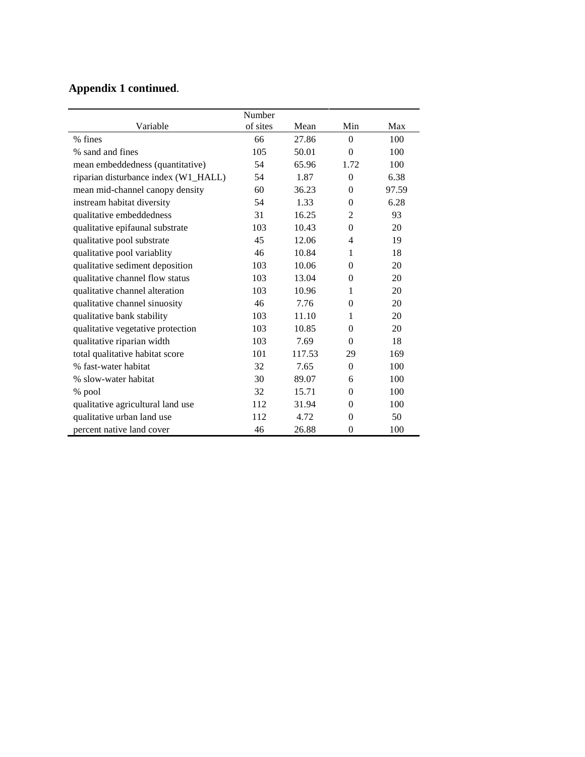|                                      | Number   |        |                |       |
|--------------------------------------|----------|--------|----------------|-------|
| Variable                             | of sites | Mean   | Min            | Max   |
| % fines                              | 66       | 27.86  | $\Omega$       | 100   |
| % sand and fines                     | 105      | 50.01  | $\theta$       | 100   |
| mean embeddedness (quantitative)     | 54       | 65.96  | 1.72           | 100   |
| riparian disturbance index (W1_HALL) | 54       | 1.87   | $\theta$       | 6.38  |
| mean mid-channel canopy density      | 60       | 36.23  | $\theta$       | 97.59 |
| instream habitat diversity           | 54       | 1.33   | $\overline{0}$ | 6.28  |
| qualitative embeddedness             | 31       | 16.25  | 2              | 93    |
| qualitative epifaunal substrate      | 103      | 10.43  | $\theta$       | 20    |
| qualitative pool substrate           | 45       | 12.06  | 4              | 19    |
| qualitative pool variablity          | 46       | 10.84  | 1              | 18    |
| qualitative sediment deposition      | 103      | 10.06  | $\theta$       | 20    |
| qualitative channel flow status      | 103      | 13.04  | $\theta$       | 20    |
| qualitative channel alteration       | 103      | 10.96  | 1              | 20    |
| qualitative channel sinuosity        | 46       | 7.76   | $\overline{0}$ | 20    |
| qualitative bank stability           | 103      | 11.10  | 1              | 20    |
| qualitative vegetative protection    | 103      | 10.85  | $\overline{0}$ | 20    |
| qualitative riparian width           | 103      | 7.69   | $\theta$       | 18    |
| total qualitative habitat score      | 101      | 117.53 | 29             | 169   |
| % fast-water habitat                 | 32       | 7.65   | $\theta$       | 100   |
| % slow-water habitat                 | 30       | 89.07  | 6              | 100   |
| % pool                               | 32       | 15.71  | $\theta$       | 100   |
| qualitative agricultural land use    | 112      | 31.94  | $\theta$       | 100   |
| qualitative urban land use           | 112      | 4.72   | $\overline{0}$ | 50    |
| percent native land cover            | 46       | 26.88  | $\overline{0}$ | 100   |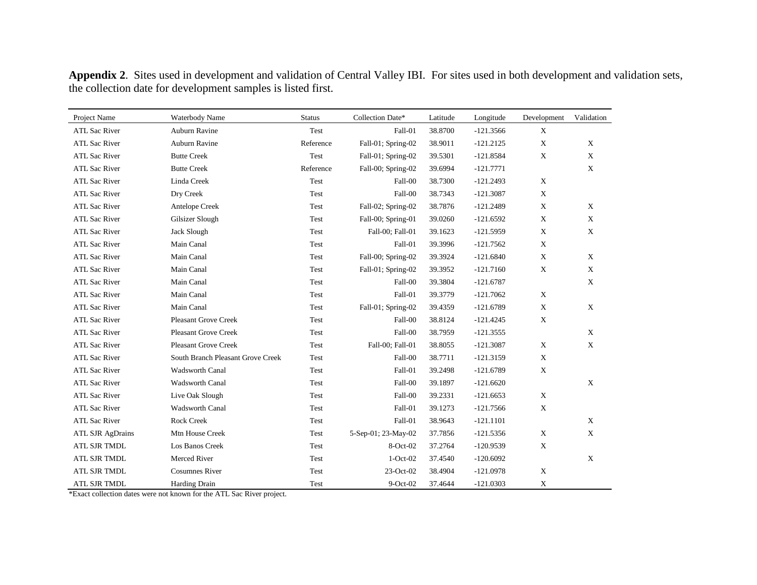| Project Name            | Waterbody Name                    | <b>Status</b> | Collection Date*    | Latitude | Longitude   | Development               | Validation  |
|-------------------------|-----------------------------------|---------------|---------------------|----------|-------------|---------------------------|-------------|
| <b>ATL Sac River</b>    | Auburn Ravine                     | Test          | Fall-01             | 38.8700  | $-121.3566$ | X                         |             |
| <b>ATL Sac River</b>    | Auburn Ravine                     | Reference     | Fall-01; Spring-02  | 38.9011  | $-121.2125$ | X                         | X           |
| <b>ATL Sac River</b>    | <b>Butte Creek</b>                | Test          | Fall-01; Spring-02  | 39.5301  | $-121.8584$ | $\mathbf X$               | X           |
| <b>ATL Sac River</b>    | <b>Butte Creek</b>                | Reference     | Fall-00; Spring-02  | 39.6994  | $-121.7771$ |                           | $\mathbf X$ |
| <b>ATL Sac River</b>    | Linda Creek                       | Test          | Fall-00             | 38.7300  | $-121.2493$ | $\mathbf X$               |             |
| <b>ATL Sac River</b>    | Dry Creek                         | Test          | Fall-00             | 38.7343  | $-121.3087$ | X                         |             |
| <b>ATL Sac River</b>    | Antelope Creek                    | Test          | Fall-02; Spring-02  | 38.7876  | $-121.2489$ | $\mathbf X$               | X           |
| <b>ATL Sac River</b>    | Gilsizer Slough                   | Test          | Fall-00; Spring-01  | 39.0260  | $-121.6592$ | $\mathbf X$               | X           |
| <b>ATL Sac River</b>    | Jack Slough                       | Test          | Fall-00; Fall-01    | 39.1623  | $-121.5959$ | X                         | $\mathbf X$ |
| <b>ATL Sac River</b>    | Main Canal                        | Test          | Fall-01             | 39.3996  | $-121.7562$ | X                         |             |
| <b>ATL Sac River</b>    | Main Canal                        | Test          | Fall-00; Spring-02  | 39.3924  | $-121.6840$ | X                         | X           |
| <b>ATL Sac River</b>    | Main Canal                        | Test          | Fall-01; Spring-02  | 39.3952  | $-121.7160$ | $\mathbf X$               | $\mathbf X$ |
| <b>ATL Sac River</b>    | Main Canal                        | Test          | Fall-00             | 39.3804  | $-121.6787$ |                           | $\mathbf X$ |
| <b>ATL Sac River</b>    | Main Canal                        | Test          | Fall-01             | 39.3779  | $-121.7062$ | $\mathbf X$               |             |
| <b>ATL Sac River</b>    | Main Canal                        | Test          | Fall-01; Spring-02  | 39.4359  | $-121.6789$ | $\mathbf X$               | $\mathbf X$ |
| <b>ATL Sac River</b>    | <b>Pleasant Grove Creek</b>       | Test          | Fall-00             | 38.8124  | $-121.4245$ | $\mathbf X$               |             |
| <b>ATL Sac River</b>    | <b>Pleasant Grove Creek</b>       | Test          | Fall-00             | 38.7959  | $-121.3555$ |                           | $\mathbf X$ |
| <b>ATL Sac River</b>    | <b>Pleasant Grove Creek</b>       | Test          | Fall-00; Fall-01    | 38.8055  | $-121.3087$ | $\mathbf X$               | $\mathbf X$ |
| <b>ATL Sac River</b>    | South Branch Pleasant Grove Creek | Test          | Fall-00             | 38.7711  | $-121.3159$ | $\mathbf X$               |             |
| <b>ATL Sac River</b>    | <b>Wadsworth Canal</b>            | Test          | Fall-01             | 39.2498  | $-121.6789$ | X                         |             |
| <b>ATL Sac River</b>    | Wadsworth Canal                   | Test          | Fall-00             | 39.1897  | $-121.6620$ |                           | $\mathbf X$ |
| <b>ATL Sac River</b>    | Live Oak Slough                   | Test          | Fall-00             | 39.2331  | $-121.6653$ | $\mathbf X$               |             |
| <b>ATL Sac River</b>    | Wadsworth Canal                   | Test          | Fall-01             | 39.1273  | $-121.7566$ | $\mathbf X$               |             |
| <b>ATL Sac River</b>    | <b>Rock Creek</b>                 | Test          | Fall-01             | 38.9643  | $-121.1101$ |                           | $\mathbf X$ |
| <b>ATL SJR AgDrains</b> | Mtn House Creek                   | Test          | 5-Sep-01; 23-May-02 | 37.7856  | $-121.5356$ | X                         | $\mathbf X$ |
| ATL SJR TMDL            | Los Banos Creek                   | Test          | $8-Oct-02$          | 37.2764  | $-120.9539$ | $\mathbf X$               |             |
| ATL SJR TMDL            | Merced River                      | Test          | $1-Oct-02$          | 37.4540  | $-120.6092$ |                           | $\mathbf X$ |
| ATL SJR TMDL            | <b>Cosumnes River</b>             | Test          | 23-Oct-02           | 38.4904  | $-121.0978$ | $\mathbf X$               |             |
| ATL SJR TMDL            | Harding Drain                     | Test          | $9$ -Oct-02         | 37.4644  | $-121.0303$ | $\boldsymbol{\mathrm{X}}$ |             |

**Appendix 2**. Sites used in development and validation of Central Valley IBI. For sites used in both development and validation sets, the collection date for development samples is listed first.

\*Exact collection dates were not known for the ATL Sac River project.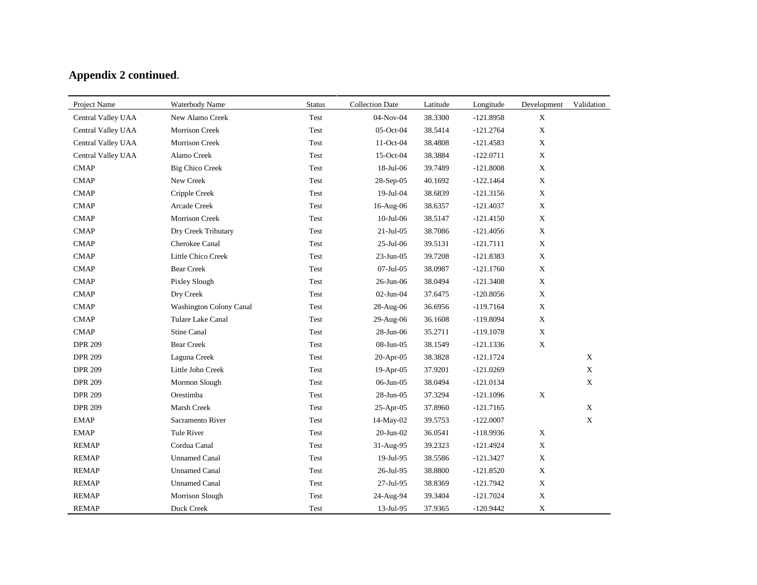| Project Name       | Waterbody Name          | <b>Status</b> | <b>Collection Date</b> | Latitude | Longitude   | Development | Validation  |
|--------------------|-------------------------|---------------|------------------------|----------|-------------|-------------|-------------|
| Central Valley UAA | New Alamo Creek         | Test          | 04-Nov-04              | 38.3300  | $-121.8958$ | X           |             |
| Central Valley UAA | Morrison Creek          | Test          | 05-Oct-04              | 38.5414  | $-121.2764$ | $\mathbf X$ |             |
| Central Valley UAA | Morrison Creek          | Test          | 11-Oct-04              | 38.4808  | $-121.4583$ | X           |             |
| Central Valley UAA | Alamo Creek             | Test          | $15$ -Oct-04           | 38.3884  | $-122.0711$ | $\mathbf X$ |             |
| <b>CMAP</b>        | <b>Big Chico Creek</b>  | Test          | 18-Jul-06              | 39.7489  | $-121.8008$ | $\mathbf X$ |             |
| <b>CMAP</b>        | New Creek               | Test          | 28-Sep-05              | 40.1692  | $-122.1464$ | $\mathbf X$ |             |
| <b>CMAP</b>        | Cripple Creek           | Test          | 19-Jul-04              | 38.6839  | $-121.3156$ | $\mathbf X$ |             |
| <b>CMAP</b>        | Arcade Creek            | Test          | 16-Aug-06              | 38.6357  | $-121.4037$ | $\mathbf X$ |             |
| <b>CMAP</b>        | Morrison Creek          | Test          | $10$ -Jul- $06$        | 38.5147  | $-121.4150$ | $\mathbf X$ |             |
| <b>CMAP</b>        | Dry Creek Tributary     | Test          | $21-Jul-05$            | 38.7086  | $-121.4056$ | $\mathbf X$ |             |
| <b>CMAP</b>        | Cherokee Canal          | Test          | $25$ -Jul-06           | 39.5131  | $-121.7111$ | $\mathbf X$ |             |
| <b>CMAP</b>        | Little Chico Creek      | Test          | $23$ -Jun-05           | 39.7208  | $-121.8383$ | $\mathbf X$ |             |
| <b>CMAP</b>        | <b>Bear Creek</b>       | Test          | $07 -$ Jul $-05$       | 38.0987  | $-121.1760$ | $\mathbf X$ |             |
| <b>CMAP</b>        | Pixley Slough           | Test          | 26-Jun-06              | 38.0494  | $-121.3408$ | $\mathbf X$ |             |
| <b>CMAP</b>        | Dry Creek               | Test          | 02-Jun-04              | 37.6475  | $-120.8056$ | $\mathbf X$ |             |
| <b>CMAP</b>        | Washington Colony Canal | Test          | 28-Aug-06              | 36.6956  | $-119.7164$ | $\mathbf X$ |             |
| <b>CMAP</b>        | Tulare Lake Canal       | Test          | 29-Aug-06              | 36.1608  | $-119.8094$ | $\mathbf X$ |             |
| <b>CMAP</b>        | Stine Canal             | Test          | 28-Jun-06              | 35.2711  | $-119.1078$ | $\mathbf X$ |             |
| <b>DPR 209</b>     | <b>Bear Creek</b>       | Test          | 08-Jun-05              | 38.1549  | $-121.1336$ | X           |             |
| <b>DPR 209</b>     | Laguna Creek            | Test          | $20-Apr-05$            | 38.3828  | $-121.1724$ |             | $\mathbf X$ |
| <b>DPR 209</b>     | Little John Creek       | Test          | 19-Apr-05              | 37.9201  | $-121.0269$ |             | $\mathbf X$ |
| <b>DPR 209</b>     | Mormon Slough           | Test          | 06-Jun-05              | 38.0494  | $-121.0134$ |             | $\mathbf X$ |
| <b>DPR 209</b>     | Orestimba               | Test          | 28-Jun-05              | 37.3294  | $-121.1096$ | $\mathbf X$ |             |
| <b>DPR 209</b>     | Marsh Creek             | Test          | 25-Apr-05              | 37.8960  | $-121.7165$ |             | $\mathbf X$ |
| <b>EMAP</b>        | Sacramento River        | Test          | 14-May-02              | 39.5753  | $-122.0007$ |             | X           |
| <b>EMAP</b>        | Tule River              | Test          | $20$ -Jun- $02$        | 36.0541  | $-118.9936$ | $\mathbf X$ |             |
| <b>REMAP</b>       | Cordua Canal            | Test          | 31-Aug-95              | 39.2323  | $-121.4924$ | $\mathbf X$ |             |
| <b>REMAP</b>       | <b>Unnamed Canal</b>    | Test          | 19-Jul-95              | 38.5586  | $-121.3427$ | $\mathbf X$ |             |
| <b>REMAP</b>       | <b>Unnamed Canal</b>    | Test          | 26-Jul-95              | 38.8800  | $-121.8520$ | $\mathbf X$ |             |
| <b>REMAP</b>       | <b>Unnamed Canal</b>    | Test          | 27-Jul-95              | 38.8369  | $-121.7942$ | $\mathbf X$ |             |
| <b>REMAP</b>       | Morrison Slough         | Test          | 24-Aug-94              | 39.3404  | $-121.7024$ | $\mathbf X$ |             |
| <b>REMAP</b>       | Duck Creek              | Test          | 13-Jul-95              | 37.9365  | $-120.9442$ | $\mathbf X$ |             |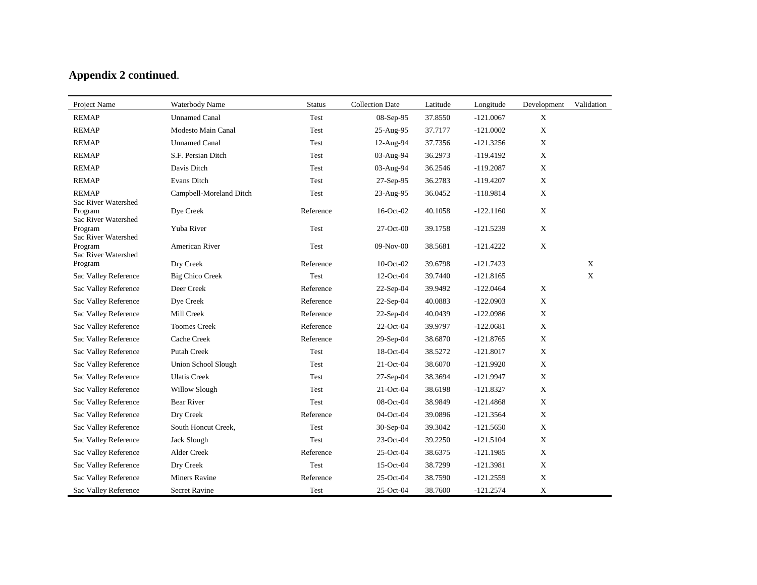| Project Name                                          | Waterbody Name             | <b>Status</b> | <b>Collection Date</b> | Latitude | Longitude   | Development | Validation   |
|-------------------------------------------------------|----------------------------|---------------|------------------------|----------|-------------|-------------|--------------|
| <b>REMAP</b>                                          | <b>Unnamed Canal</b>       | Test          | 08-Sep-95              | 37.8550  | $-121.0067$ | $\mathbf X$ |              |
| <b>REMAP</b>                                          | Modesto Main Canal         | Test          | 25-Aug-95              | 37.7177  | $-121.0002$ | $\mathbf X$ |              |
| <b>REMAP</b>                                          | <b>Unnamed Canal</b>       | Test          | 12-Aug-94              | 37.7356  | $-121.3256$ | $\mathbf X$ |              |
| <b>REMAP</b>                                          | S.F. Persian Ditch         | Test          | 03-Aug-94              | 36.2973  | $-119.4192$ | $\mathbf X$ |              |
| <b>REMAP</b>                                          | Davis Ditch                | Test          | 03-Aug-94              | 36.2546  | $-119.2087$ | $\mathbf X$ |              |
| <b>REMAP</b>                                          | Evans Ditch                | Test          | 27-Sep-95              | 36.2783  | $-119.4207$ | $\mathbf X$ |              |
| <b>REMAP</b>                                          | Campbell-Moreland Ditch    | Test          | 23-Aug-95              | 36.0452  | $-118.9814$ | $\mathbf X$ |              |
| Sac River Watershed<br>Program<br>Sac River Watershed | Dye Creek                  | Reference     | 16-Oct-02              | 40.1058  | $-122.1160$ | $\mathbf X$ |              |
| Program<br>Sac River Watershed                        | Yuba River                 | Test          | $27-Oct-00$            | 39.1758  | $-121.5239$ | $\mathbf X$ |              |
| Program<br>Sac River Watershed                        | American River             | Test          | 09-Nov-00              | 38.5681  | $-121.4222$ | $\mathbf X$ |              |
| Program                                               | Dry Creek                  | Reference     | $10$ -Oct-02           | 39.6798  | $-121.7423$ |             | $\mathbf{X}$ |
| Sac Valley Reference                                  | <b>Big Chico Creek</b>     | Test          | 12-Oct-04              | 39.7440  | $-121.8165$ |             | $\mathbf{X}$ |
| Sac Valley Reference                                  | Deer Creek                 | Reference     | $22-Sep-04$            | 39.9492  | $-122.0464$ | $\mathbf X$ |              |
| Sac Valley Reference                                  | Dye Creek                  | Reference     | $22-Sep-04$            | 40.0883  | $-122.0903$ | $\mathbf X$ |              |
| Sac Valley Reference                                  | Mill Creek                 | Reference     | $22-Sep-04$            | 40.0439  | $-122.0986$ | $\mathbf X$ |              |
| Sac Valley Reference                                  | <b>Toomes Creek</b>        | Reference     | 22-Oct-04              | 39.9797  | $-122.0681$ | X           |              |
| Sac Valley Reference                                  | Cache Creek                | Reference     | $29-Sep-04$            | 38.6870  | $-121.8765$ | X           |              |
| Sac Valley Reference                                  | <b>Putah Creek</b>         | Test          | 18-Oct-04              | 38.5272  | $-121.8017$ | $\mathbf X$ |              |
| Sac Valley Reference                                  | <b>Union School Slough</b> | Test          | 21-Oct-04              | 38.6070  | $-121.9920$ | $\mathbf X$ |              |
| Sac Valley Reference                                  | <b>Ulatis Creek</b>        | Test          | $27-Sep-04$            | 38.3694  | $-121.9947$ | $\mathbf X$ |              |
| Sac Valley Reference                                  | Willow Slough              | Test          | 21-Oct-04              | 38.6198  | $-121.8327$ | $\mathbf X$ |              |
| Sac Valley Reference                                  | <b>Bear River</b>          | Test          | 08-Oct-04              | 38.9849  | $-121.4868$ | $\mathbf X$ |              |
| Sac Valley Reference                                  | Dry Creek                  | Reference     | 04-Oct-04              | 39.0896  | $-121.3564$ | X           |              |
| Sac Valley Reference                                  | South Honcut Creek,        | Test          | 30-Sep-04              | 39.3042  | $-121.5650$ | $\mathbf X$ |              |
| Sac Valley Reference                                  | Jack Slough                | Test          | 23-Oct-04              | 39.2250  | $-121.5104$ | X           |              |
| Sac Valley Reference                                  | Alder Creek                | Reference     | 25-Oct-04              | 38.6375  | $-121.1985$ | $\mathbf X$ |              |
| Sac Valley Reference                                  | Dry Creek                  | Test          | $15$ -Oct-04           | 38.7299  | $-121.3981$ | $\mathbf X$ |              |
| Sac Valley Reference                                  | <b>Miners Ravine</b>       | Reference     | 25-Oct-04              | 38.7590  | $-121.2559$ | $\mathbf X$ |              |
| Sac Valley Reference                                  | Secret Ravine              | Test          | 25-Oct-04              | 38.7600  | $-121.2574$ | $\mathbf X$ |              |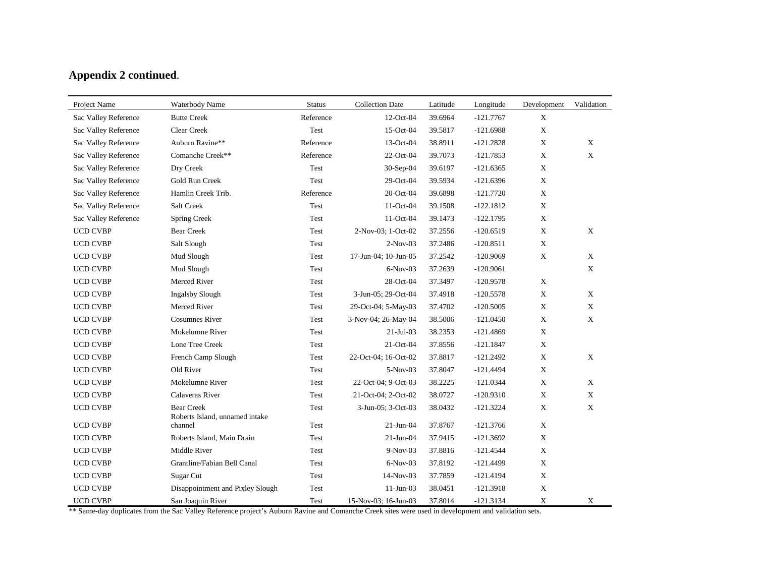| Project Name         | Waterbody Name                            | <b>Status</b> | <b>Collection Date</b> | Latitude | Longitude   | Development               | Validation  |
|----------------------|-------------------------------------------|---------------|------------------------|----------|-------------|---------------------------|-------------|
| Sac Valley Reference | <b>Butte Creek</b>                        | Reference     | 12-Oct-04              | 39.6964  | $-121.7767$ | $\mathbf X$               |             |
| Sac Valley Reference | Clear Creek                               | Test          | 15-Oct-04              | 39.5817  | $-121.6988$ | $\boldsymbol{\mathrm{X}}$ |             |
| Sac Valley Reference | Auburn Ravine**                           | Reference     | 13-Oct-04              | 38.8911  | $-121.2828$ | $\mathbf X$               | X           |
| Sac Valley Reference | Comanche Creek**                          | Reference     | 22-Oct-04              | 39.7073  | $-121.7853$ | $\mathbf X$               | $\mathbf X$ |
| Sac Valley Reference | Dry Creek                                 | Test          | $30-Sep-04$            | 39.6197  | $-121.6365$ | $\mathbf X$               |             |
| Sac Valley Reference | Gold Run Creek                            | Test          | $29-Oct-04$            | 39.5934  | $-121.6396$ | $\mathbf X$               |             |
| Sac Valley Reference | Hamlin Creek Trib.                        | Reference     | 20-Oct-04              | 39.6898  | $-121.7720$ | $\mathbf X$               |             |
| Sac Valley Reference | Salt Creek                                | Test          | 11-Oct-04              | 39.1508  | $-122.1812$ | $\mathbf X$               |             |
| Sac Valley Reference | Spring Creek                              | Test          | 11-Oct-04              | 39.1473  | $-122.1795$ | $\mathbf X$               |             |
| <b>UCD CVBP</b>      | <b>Bear Creek</b>                         | Test          | 2-Nov-03; 1-Oct-02     | 37.2556  | $-120.6519$ | $\mathbf X$               | $\mathbf X$ |
| <b>UCD CVBP</b>      | Salt Slough                               | Test          | $2-Nov-03$             | 37.2486  | $-120.8511$ | $\mathbf X$               |             |
| <b>UCD CVBP</b>      | Mud Slough                                | Test          | 17-Jun-04; 10-Jun-05   | 37.2542  | $-120.9069$ | $\mathbf X$               | $\mathbf X$ |
| <b>UCD CVBP</b>      | Mud Slough                                | Test          | $6-Nov-03$             | 37.2639  | $-120.9061$ |                           | $\mathbf X$ |
| <b>UCD CVBP</b>      | Merced River                              | Test          | 28-Oct-04              | 37.3497  | $-120.9578$ | $\mathbf X$               |             |
| <b>UCD CVBP</b>      | <b>Ingalsby Slough</b>                    | Test          | 3-Jun-05; 29-Oct-04    | 37.4918  | $-120.5578$ | $\mathbf X$               | X           |
| <b>UCD CVBP</b>      | Merced River                              | Test          | 29-Oct-04; 5-May-03    | 37.4702  | $-120.5005$ | $\mathbf X$               | $\mathbf X$ |
| <b>UCD CVBP</b>      | <b>Cosumnes River</b>                     | Test          | 3-Nov-04; 26-May-04    | 38.5006  | $-121.0450$ | $\mathbf X$               | $\mathbf X$ |
| <b>UCD CVBP</b>      | Mokelumne River                           | Test          | $21-Ju1-03$            | 38.2353  | $-121.4869$ | $\mathbf X$               |             |
| <b>UCD CVBP</b>      | Lone Tree Creek                           | Test          | 21-Oct-04              | 37.8556  | $-121.1847$ | $\mathbf{X}$              |             |
| <b>UCD CVBP</b>      | French Camp Slough                        | Test          | 22-Oct-04; 16-Oct-02   | 37.8817  | $-121.2492$ | $\mathbf X$               | $\mathbf X$ |
| <b>UCD CVBP</b>      | Old River                                 | Test          | 5-Nov-03               | 37.8047  | $-121.4494$ | $\mathbf X$               |             |
| <b>UCD CVBP</b>      | Mokelumne River                           | Test          | 22-Oct-04; 9-Oct-03    | 38.2225  | $-121.0344$ | $\mathbf X$               | $\mathbf X$ |
| <b>UCD CVBP</b>      | Calaveras River                           | Test          | 21-Oct-04; 2-Oct-02    | 38.0727  | $-120.9310$ | $\mathbf X$               | $\mathbf X$ |
| <b>UCD CVBP</b>      | <b>Bear Creek</b>                         | Test          | 3-Jun-05; 3-Oct-03     | 38.0432  | $-121.3224$ | $\mathbf X$               | X           |
| <b>UCD CVBP</b>      | Roberts Island, unnamed intake<br>channel | Test          | $21$ -Jun-04           | 37.8767  | $-121.3766$ | $\mathbf X$               |             |
| <b>UCD CVBP</b>      | Roberts Island, Main Drain                | Test          | $21$ -Jun-04           | 37.9415  | $-121.3692$ | $\mathbf X$               |             |
| <b>UCD CVBP</b>      | Middle River                              | Test          | $9-Nov-03$             | 37.8816  | $-121.4544$ | X                         |             |
| <b>UCD CVBP</b>      | Grantline/Fabian Bell Canal               | Test          | $6-Nov-03$             | 37.8192  | $-121.4499$ | $\mathbf X$               |             |
| <b>UCD CVBP</b>      | Sugar Cut                                 | Test          | 14-Nov-03              | 37.7859  | $-121.4194$ | $\mathbf X$               |             |
| <b>UCD CVBP</b>      | Disappointment and Pixley Slough          | Test          | $11-Jun-03$            | 38.0451  | $-121.3918$ | $\mathbf X$               |             |
| <b>UCD CVBP</b>      | San Joaquin River                         | Test          | 15-Nov-03; 16-Jun-03   | 37.8014  | $-121.3134$ | $\mathbf X$               | X           |

\*\* Same-day duplicates from the Sac Valley Reference project's Auburn Ravine and Comanche Creek sites were used in development and validation sets.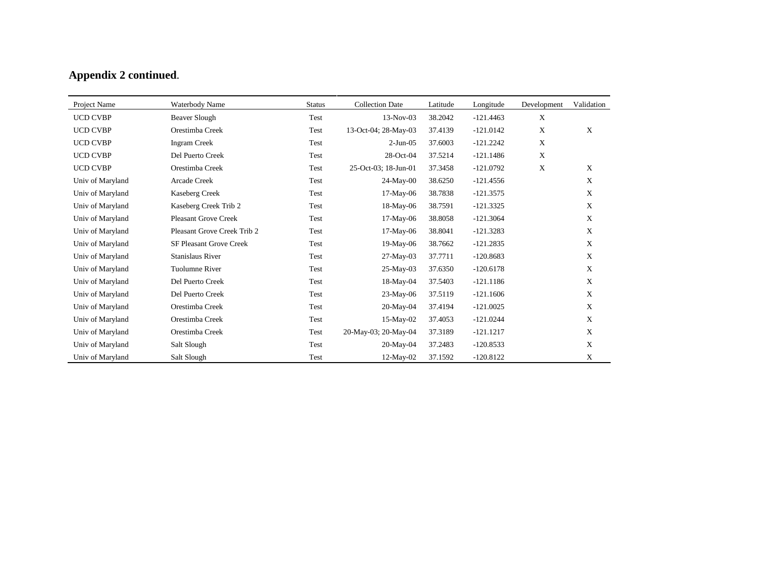| Project Name     | Waterbody Name                 | <b>Status</b> | <b>Collection Date</b> | Latitude | Longitude   | Development | Validation  |
|------------------|--------------------------------|---------------|------------------------|----------|-------------|-------------|-------------|
| <b>UCD CVBP</b>  | Beaver Slough                  | Test          | $13-Nov-03$            | 38.2042  | $-121.4463$ | $\mathbf X$ |             |
| <b>UCD CVBP</b>  | Orestimba Creek                | Test          | 13-Oct-04; 28-May-03   | 37.4139  | $-121.0142$ | X           | X           |
| <b>UCD CVBP</b>  | <b>Ingram Creek</b>            | Test          | $2-Jun-05$             | 37.6003  | $-121.2242$ | X           |             |
| <b>UCD CVBP</b>  | Del Puerto Creek               | Test          | 28-Oct-04              | 37.5214  | $-121.1486$ | X           |             |
| <b>UCD CVBP</b>  | Orestimba Creek                | Test          | 25-Oct-03; 18-Jun-01   | 37.3458  | $-121.0792$ | $\mathbf X$ | X           |
| Univ of Maryland | Arcade Creek                   | Test          | $24$ -May-00           | 38.6250  | $-121.4556$ |             | $\mathbf X$ |
| Univ of Maryland | Kaseberg Creek                 | Test          | 17-May-06              | 38.7838  | $-121.3575$ |             | X           |
| Univ of Maryland | Kaseberg Creek Trib 2          | Test          | 18-May-06              | 38.7591  | $-121.3325$ |             | X           |
| Univ of Maryland | <b>Pleasant Grove Creek</b>    | Test          | 17-May-06              | 38.8058  | $-121.3064$ |             | X           |
| Univ of Maryland | Pleasant Grove Creek Trib 2    | Test          | 17-May-06              | 38.8041  | $-121.3283$ |             | $\mathbf X$ |
| Univ of Maryland | <b>SF Pleasant Grove Creek</b> | Test          | 19-May-06              | 38.7662  | $-121.2835$ |             | $\mathbf X$ |
| Univ of Maryland | <b>Stanislaus River</b>        | Test          | $27-May-03$            | 37.7711  | $-120.8683$ |             | X           |
| Univ of Maryland | Tuolumne River                 | Test          | 25-May-03              | 37.6350  | $-120.6178$ |             | $\mathbf X$ |
| Univ of Maryland | Del Puerto Creek               | Test          | $18-May-04$            | 37.5403  | $-121.1186$ |             | X           |
| Univ of Maryland | Del Puerto Creek               | Test          | 23-May-06              | 37.5119  | $-121.1606$ |             | $\mathbf X$ |
| Univ of Maryland | Orestimba Creek                | Test          | $20-May-04$            | 37.4194  | $-121.0025$ |             | $\mathbf X$ |
| Univ of Maryland | Orestimba Creek                | Test          | 15-May-02              | 37.4053  | $-121.0244$ |             | X           |
| Univ of Maryland | Orestimba Creek                | Test          | 20-May-03; 20-May-04   | 37.3189  | $-121.1217$ |             | X           |
| Univ of Maryland | Salt Slough                    | Test          | 20-May-04              | 37.2483  | $-120.8533$ |             | $\mathbf X$ |
| Univ of Maryland | Salt Slough                    | Test          | $12$ -May-02           | 37.1592  | $-120.8122$ |             | $\mathbf X$ |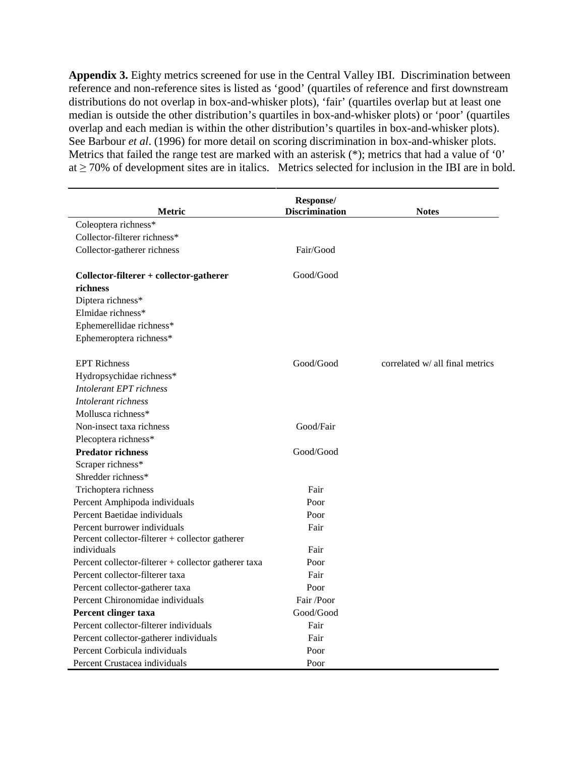**Appendix 3.** Eighty metrics screened for use in the Central Valley IBI. Discrimination between reference and non-reference sites is listed as 'good' (quartiles of reference and first downstream distributions do not overlap in box-and-whisker plots), 'fair' (quartiles overlap but at least one median is outside the other distribution's quartiles in box-and-whisker plots) or 'poor' (quartiles overlap and each median is within the other distribution's quartiles in box-and-whisker plots). See Barbour *et al*. (1996) for more detail on scoring discrimination in box-and-whisker plots. Metrics that failed the range test are marked with an asterisk (\*); metrics that had a value of '0' at ≥ 70% of development sites are in italics. Metrics selected for inclusion in the IBI are in bold.

|                                                      | Response/             |                                 |
|------------------------------------------------------|-----------------------|---------------------------------|
| Metric                                               | <b>Discrimination</b> | <b>Notes</b>                    |
| Coleoptera richness*                                 |                       |                                 |
| Collector-filterer richness*                         |                       |                                 |
| Collector-gatherer richness                          | Fair/Good             |                                 |
| Collector-filterer + collector-gatherer              | Good/Good             |                                 |
| richness                                             |                       |                                 |
| Diptera richness*                                    |                       |                                 |
| Elmidae richness*                                    |                       |                                 |
| Ephemerellidae richness*                             |                       |                                 |
| Ephemeroptera richness*                              |                       |                                 |
| <b>EPT Richness</b>                                  | Good/Good             | correlated w/ all final metrics |
| Hydropsychidae richness*                             |                       |                                 |
| Intolerant EPT richness                              |                       |                                 |
| Intolerant richness                                  |                       |                                 |
| Mollusca richness*                                   |                       |                                 |
| Non-insect taxa richness                             | Good/Fair             |                                 |
| Plecoptera richness*                                 |                       |                                 |
| <b>Predator richness</b>                             | Good/Good             |                                 |
| Scraper richness*                                    |                       |                                 |
| Shredder richness*                                   |                       |                                 |
| Trichoptera richness                                 | Fair                  |                                 |
| Percent Amphipoda individuals                        | Poor                  |                                 |
| Percent Baetidae individuals                         | Poor                  |                                 |
| Percent burrower individuals                         | Fair                  |                                 |
| Percent collector-filterer + collector gatherer      |                       |                                 |
| individuals                                          | Fair                  |                                 |
| Percent collector-filterer + collector gatherer taxa | Poor                  |                                 |
| Percent collector-filterer taxa                      | Fair                  |                                 |
| Percent collector-gatherer taxa                      | Poor                  |                                 |
| Percent Chironomidae individuals                     | Fair /Poor            |                                 |
| Percent clinger taxa                                 | Good/Good             |                                 |
| Percent collector-filterer individuals               | Fair                  |                                 |
| Percent collector-gatherer individuals               | Fair                  |                                 |
| Percent Corbicula individuals                        | Poor                  |                                 |
| Percent Crustacea individuals                        | Poor                  |                                 |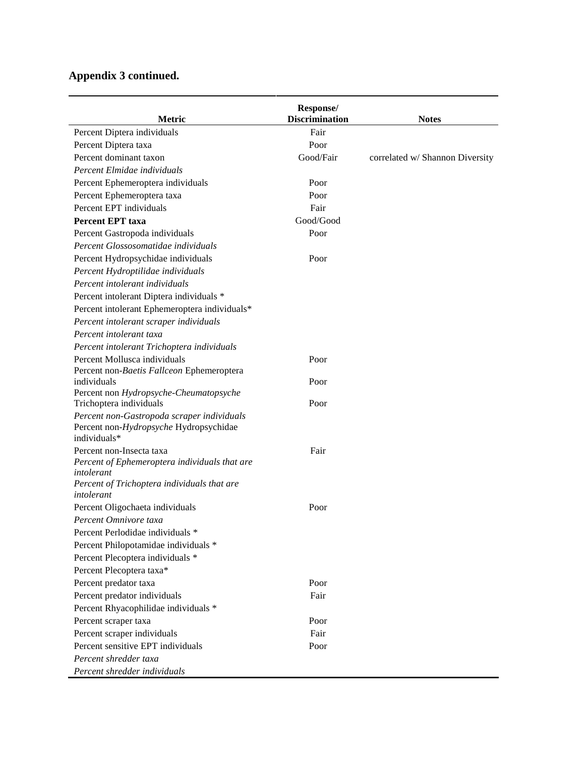| Metric                                                    | Response/<br><b>Discrimination</b> | <b>Notes</b>                    |
|-----------------------------------------------------------|------------------------------------|---------------------------------|
| Percent Diptera individuals                               | Fair                               |                                 |
| Percent Diptera taxa                                      | Poor                               |                                 |
| Percent dominant taxon                                    | Good/Fair                          | correlated w/ Shannon Diversity |
| Percent Elmidae individuals                               |                                    |                                 |
| Percent Ephemeroptera individuals                         | Poor                               |                                 |
| Percent Ephemeroptera taxa                                | Poor                               |                                 |
| Percent EPT individuals                                   | Fair                               |                                 |
| <b>Percent EPT taxa</b>                                   | Good/Good                          |                                 |
| Percent Gastropoda individuals                            | Poor                               |                                 |
| Percent Glossosomatidae individuals                       |                                    |                                 |
| Percent Hydropsychidae individuals                        | Poor                               |                                 |
| Percent Hydroptilidae individuals                         |                                    |                                 |
| Percent intolerant individuals                            |                                    |                                 |
| Percent intolerant Diptera individuals *                  |                                    |                                 |
| Percent intolerant Ephemeroptera individuals*             |                                    |                                 |
| Percent intolerant scraper individuals                    |                                    |                                 |
| Percent intolerant taxa                                   |                                    |                                 |
| Percent intolerant Trichoptera individuals                |                                    |                                 |
| Percent Mollusca individuals                              | Poor                               |                                 |
| Percent non-Baetis Fallceon Ephemeroptera                 |                                    |                                 |
| individuals                                               | Poor                               |                                 |
| Percent non Hydropsyche-Cheumatopsyche                    |                                    |                                 |
| Trichoptera individuals                                   | Poor                               |                                 |
| Percent non-Gastropoda scraper individuals                |                                    |                                 |
| Percent non-Hydropsyche Hydropsychidae                    |                                    |                                 |
| individuals*                                              |                                    |                                 |
| Percent non-Insecta taxa                                  | Fair                               |                                 |
| Percent of Ephemeroptera individuals that are             |                                    |                                 |
| intolerant<br>Percent of Trichoptera individuals that are |                                    |                                 |
| intolerant                                                |                                    |                                 |
| Percent Oligochaeta individuals                           | Poor                               |                                 |
| Percent Omnivore taxa                                     |                                    |                                 |
| Percent Perlodidae individuals *                          |                                    |                                 |
| Percent Philopotamidae individuals *                      |                                    |                                 |
| Percent Plecoptera individuals *                          |                                    |                                 |
|                                                           |                                    |                                 |
| Percent Plecoptera taxa*                                  |                                    |                                 |
| Percent predator taxa                                     | Poor                               |                                 |
| Percent predator individuals                              | Fair                               |                                 |
| Percent Rhyacophilidae individuals *                      |                                    |                                 |
| Percent scraper taxa                                      | Poor                               |                                 |
| Percent scraper individuals                               | Fair                               |                                 |
| Percent sensitive EPT individuals                         | Poor                               |                                 |
| Percent shredder taxa                                     |                                    |                                 |
| Percent shredder individuals                              |                                    |                                 |